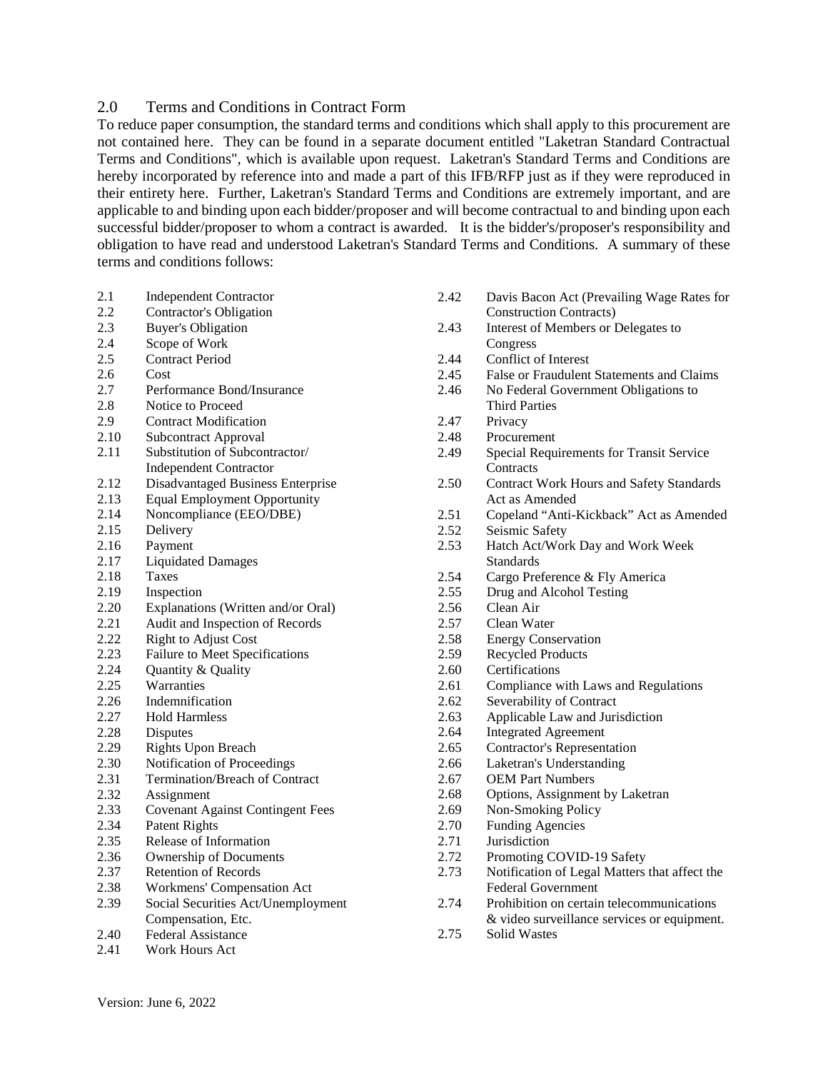#### 2.0 Terms and Conditions in Contract Form

To reduce paper consumption, the standard terms and conditions which shall apply to this procurement are not contained here. They can be found in a separate document entitled "Laketran Standard Contractual Terms and Conditions", which is available upon request. Laketran's Standard Terms and Conditions are hereby incorporated by reference into and made a part of this IFB/RFP just as if they were reproduced in their entirety here. Further, Laketran's Standard Terms and Conditions are extremely important, and are applicable to and binding upon each bidder/proposer and will become contractual to and binding upon each successful bidder/proposer to whom a contract is awarded. It is the bidder's/proposer's responsibility and obligation to have read and understood Laketran's Standard Terms and Conditions. A summary of these terms and conditions follows:

| 2.1  | <b>Independent Contractor</b>           | 2.42 | Davis Bacon Act (Prevailing Wage Rates for      |
|------|-----------------------------------------|------|-------------------------------------------------|
| 2.2  | <b>Contractor's Obligation</b>          |      | <b>Construction Contracts</b> )                 |
| 2.3  | <b>Buyer's Obligation</b>               | 2.43 | Interest of Members or Delegates to             |
| 2.4  | Scope of Work                           |      | Congress                                        |
| 2.5  | <b>Contract Period</b>                  | 2.44 | Conflict of Interest                            |
| 2.6  | Cost                                    | 2.45 | False or Fraudulent Statements and Claims       |
| 2.7  | Performance Bond/Insurance              | 2.46 | No Federal Government Obligations to            |
| 2.8  | Notice to Proceed                       |      | <b>Third Parties</b>                            |
| 2.9  | <b>Contract Modification</b>            | 2.47 | Privacy                                         |
| 2.10 | <b>Subcontract Approval</b>             | 2.48 | Procurement                                     |
| 2.11 | Substitution of Subcontractor/          | 2.49 | Special Requirements for Transit Service        |
|      | <b>Independent Contractor</b>           |      | Contracts                                       |
| 2.12 | Disadvantaged Business Enterprise       | 2.50 | <b>Contract Work Hours and Safety Standards</b> |
| 2.13 | <b>Equal Employment Opportunity</b>     |      | Act as Amended                                  |
| 2.14 | Noncompliance (EEO/DBE)                 | 2.51 | Copeland "Anti-Kickback" Act as Amended         |
| 2.15 | Delivery                                | 2.52 | Seismic Safety                                  |
| 2.16 | Payment                                 | 2.53 | Hatch Act/Work Day and Work Week                |
| 2.17 | <b>Liquidated Damages</b>               |      | <b>Standards</b>                                |
| 2.18 | <b>Taxes</b>                            | 2.54 | Cargo Preference & Fly America                  |
| 2.19 | Inspection                              | 2.55 | Drug and Alcohol Testing                        |
| 2.20 | Explanations (Written and/or Oral)      | 2.56 | Clean Air                                       |
| 2.21 | Audit and Inspection of Records         | 2.57 | Clean Water                                     |
| 2.22 | <b>Right to Adjust Cost</b>             | 2.58 | <b>Energy Conservation</b>                      |
| 2.23 | Failure to Meet Specifications          | 2.59 | <b>Recycled Products</b>                        |
| 2.24 | Quantity & Quality                      | 2.60 | Certifications                                  |
| 2.25 | Warranties                              | 2.61 | Compliance with Laws and Regulations            |
| 2.26 | Indemnification                         | 2.62 | Severability of Contract                        |
| 2.27 | <b>Hold Harmless</b>                    | 2.63 | Applicable Law and Jurisdiction                 |
| 2.28 | <b>Disputes</b>                         | 2.64 | <b>Integrated Agreement</b>                     |
| 2.29 | <b>Rights Upon Breach</b>               | 2.65 | Contractor's Representation                     |
| 2.30 | Notification of Proceedings             | 2.66 | Laketran's Understanding                        |
| 2.31 | <b>Termination/Breach of Contract</b>   | 2.67 | <b>OEM Part Numbers</b>                         |
| 2.32 | Assignment                              | 2.68 | Options, Assignment by Laketran                 |
| 2.33 | <b>Covenant Against Contingent Fees</b> | 2.69 | Non-Smoking Policy                              |
| 2.34 | <b>Patent Rights</b>                    | 2.70 | <b>Funding Agencies</b>                         |
| 2.35 | Release of Information                  | 2.71 | Jurisdiction                                    |
| 2.36 | Ownership of Documents                  | 2.72 | Promoting COVID-19 Safety                       |
| 2.37 | <b>Retention of Records</b>             | 2.73 | Notification of Legal Matters that affect the   |
| 2.38 | Workmens' Compensation Act              |      | <b>Federal Government</b>                       |
| 2.39 | Social Securities Act/Unemployment      | 2.74 | Prohibition on certain telecommunications       |
|      | Compensation, Etc.                      |      | & video surveillance services or equipment.     |
| 2.40 | <b>Federal Assistance</b>               | 2.75 | <b>Solid Wastes</b>                             |

2.41 Work Hours Act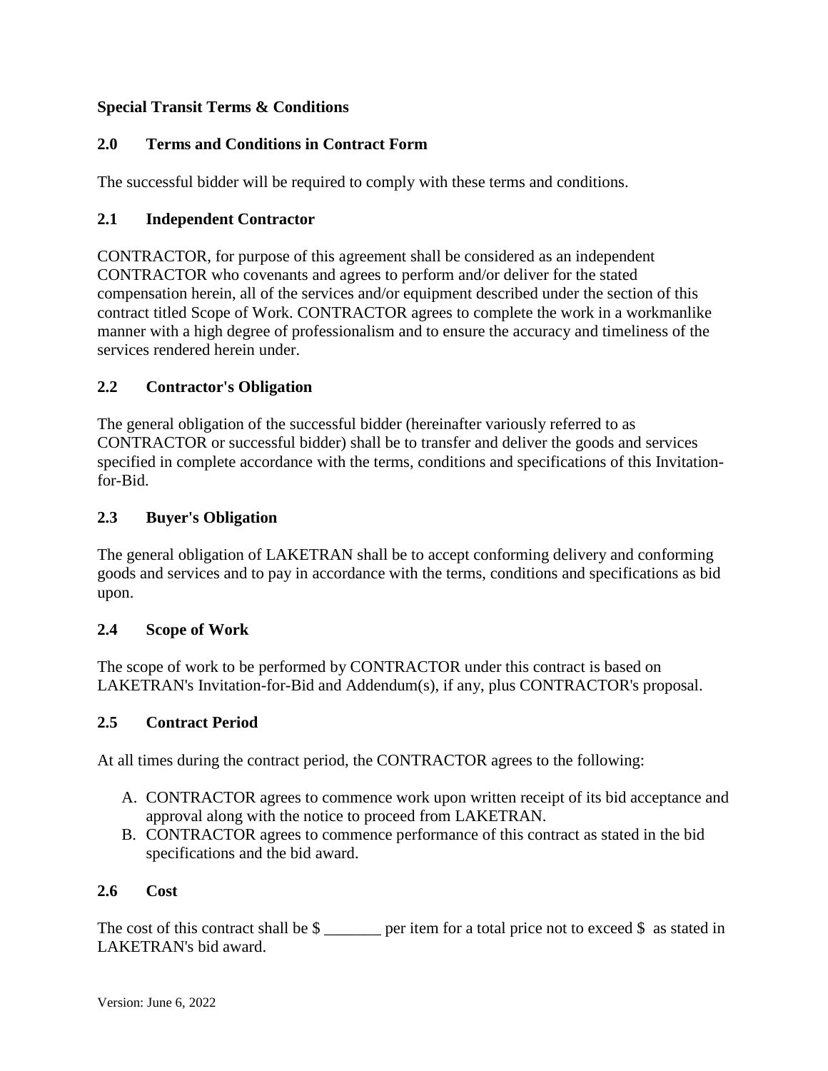## **Special Transit Terms & Conditions**

## **2.0 Terms and Conditions in Contract Form**

The successful bidder will be required to comply with these terms and conditions.

### **2.1 Independent Contractor**

CONTRACTOR, for purpose of this agreement shall be considered as an independent CONTRACTOR who covenants and agrees to perform and/or deliver for the stated compensation herein, all of the services and/or equipment described under the section of this contract titled Scope of Work. CONTRACTOR agrees to complete the work in a workmanlike manner with a high degree of professionalism and to ensure the accuracy and timeliness of the services rendered herein under.

## **2.2 Contractor's Obligation**

The general obligation of the successful bidder (hereinafter variously referred to as CONTRACTOR or successful bidder) shall be to transfer and deliver the goods and services specified in complete accordance with the terms, conditions and specifications of this Invitationfor-Bid.

### **2.3 Buyer's Obligation**

The general obligation of LAKETRAN shall be to accept conforming delivery and conforming goods and services and to pay in accordance with the terms, conditions and specifications as bid upon.

### **2.4 Scope of Work**

The scope of work to be performed by CONTRACTOR under this contract is based on LAKETRAN's Invitation-for-Bid and Addendum(s), if any, plus CONTRACTOR's proposal.

### **2.5 Contract Period**

At all times during the contract period, the CONTRACTOR agrees to the following:

- A. CONTRACTOR agrees to commence work upon written receipt of its bid acceptance and approval along with the notice to proceed from LAKETRAN.
- B. CONTRACTOR agrees to commence performance of this contract as stated in the bid specifications and the bid award.

### **2.6 Cost**

The cost of this contract shall be  $\frac{1}{2}$  per item for a total price not to exceed  $\frac{1}{2}$  as stated in LAKETRAN's bid award.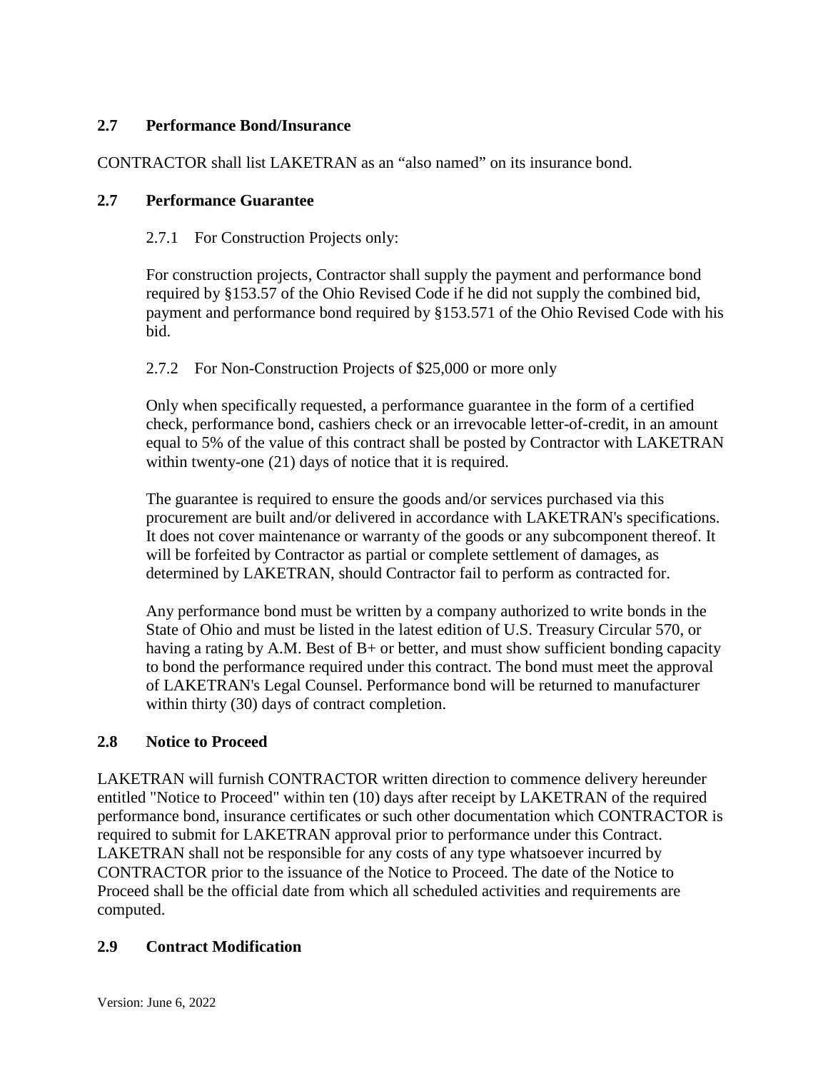## **2.7 Performance Bond/Insurance**

CONTRACTOR shall list LAKETRAN as an "also named" on its insurance bond.

#### **2.7 Performance Guarantee**

2.7.1 For Construction Projects only:

For construction projects, Contractor shall supply the payment and performance bond required by §153.57 of the Ohio Revised Code if he did not supply the combined bid, payment and performance bond required by §153.571 of the Ohio Revised Code with his bid.

#### 2.7.2 For Non-Construction Projects of \$25,000 or more only

Only when specifically requested, a performance guarantee in the form of a certified check, performance bond, cashiers check or an irrevocable letter-of-credit, in an amount equal to 5% of the value of this contract shall be posted by Contractor with LAKETRAN within twenty-one (21) days of notice that it is required.

The guarantee is required to ensure the goods and/or services purchased via this procurement are built and/or delivered in accordance with LAKETRAN's specifications. It does not cover maintenance or warranty of the goods or any subcomponent thereof. It will be forfeited by Contractor as partial or complete settlement of damages, as determined by LAKETRAN, should Contractor fail to perform as contracted for.

Any performance bond must be written by a company authorized to write bonds in the State of Ohio and must be listed in the latest edition of U.S. Treasury Circular 570, or having a rating by A.M. Best of B+ or better, and must show sufficient bonding capacity to bond the performance required under this contract. The bond must meet the approval of LAKETRAN's Legal Counsel. Performance bond will be returned to manufacturer within thirty (30) days of contract completion.

### **2.8 Notice to Proceed**

LAKETRAN will furnish CONTRACTOR written direction to commence delivery hereunder entitled "Notice to Proceed" within ten (10) days after receipt by LAKETRAN of the required performance bond, insurance certificates or such other documentation which CONTRACTOR is required to submit for LAKETRAN approval prior to performance under this Contract. LAKETRAN shall not be responsible for any costs of any type whatsoever incurred by CONTRACTOR prior to the issuance of the Notice to Proceed. The date of the Notice to Proceed shall be the official date from which all scheduled activities and requirements are computed.

### **2.9 Contract Modification**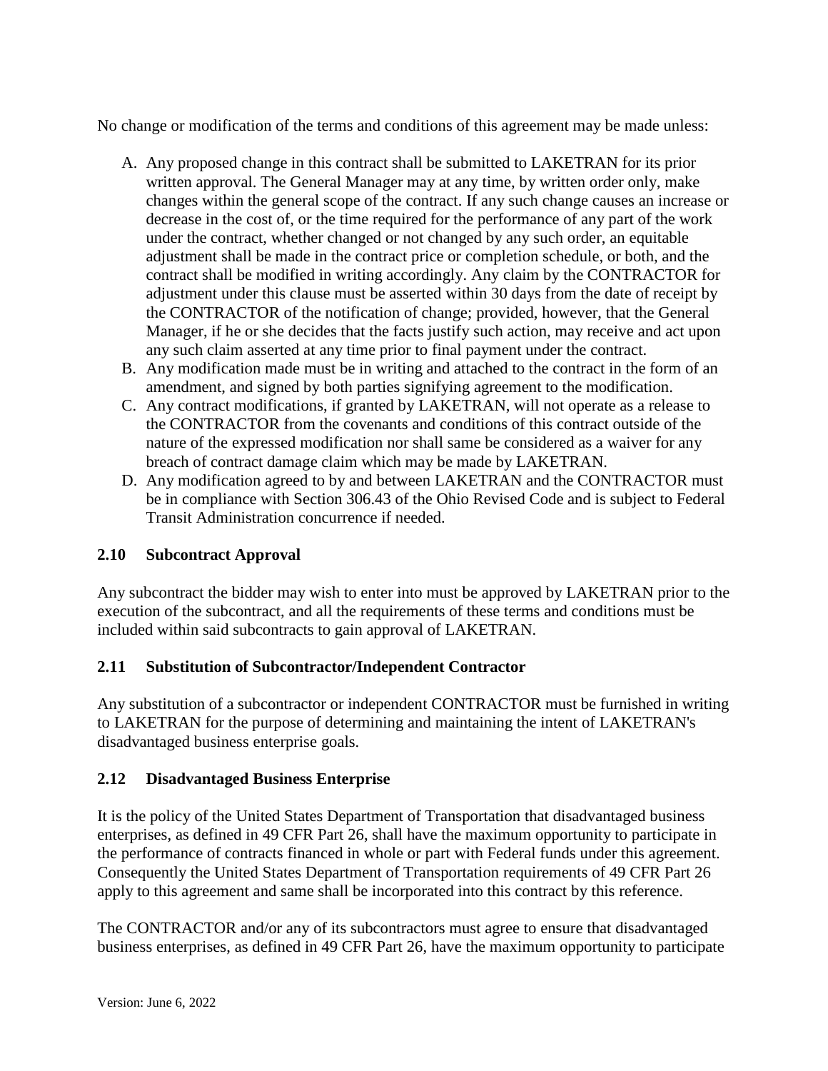No change or modification of the terms and conditions of this agreement may be made unless:

- A. Any proposed change in this contract shall be submitted to LAKETRAN for its prior written approval. The General Manager may at any time, by written order only, make changes within the general scope of the contract. If any such change causes an increase or decrease in the cost of, or the time required for the performance of any part of the work under the contract, whether changed or not changed by any such order, an equitable adjustment shall be made in the contract price or completion schedule, or both, and the contract shall be modified in writing accordingly. Any claim by the CONTRACTOR for adjustment under this clause must be asserted within 30 days from the date of receipt by the CONTRACTOR of the notification of change; provided, however, that the General Manager, if he or she decides that the facts justify such action, may receive and act upon any such claim asserted at any time prior to final payment under the contract.
- B. Any modification made must be in writing and attached to the contract in the form of an amendment, and signed by both parties signifying agreement to the modification.
- C. Any contract modifications, if granted by LAKETRAN, will not operate as a release to the CONTRACTOR from the covenants and conditions of this contract outside of the nature of the expressed modification nor shall same be considered as a waiver for any breach of contract damage claim which may be made by LAKETRAN.
- D. Any modification agreed to by and between LAKETRAN and the CONTRACTOR must be in compliance with Section 306.43 of the Ohio Revised Code and is subject to Federal Transit Administration concurrence if needed.

# **2.10 Subcontract Approval**

Any subcontract the bidder may wish to enter into must be approved by LAKETRAN prior to the execution of the subcontract, and all the requirements of these terms and conditions must be included within said subcontracts to gain approval of LAKETRAN.

# **2.11 Substitution of Subcontractor/Independent Contractor**

Any substitution of a subcontractor or independent CONTRACTOR must be furnished in writing to LAKETRAN for the purpose of determining and maintaining the intent of LAKETRAN's disadvantaged business enterprise goals.

# **2.12 Disadvantaged Business Enterprise**

It is the policy of the United States Department of Transportation that disadvantaged business enterprises, as defined in 49 CFR Part 26, shall have the maximum opportunity to participate in the performance of contracts financed in whole or part with Federal funds under this agreement. Consequently the United States Department of Transportation requirements of 49 CFR Part 26 apply to this agreement and same shall be incorporated into this contract by this reference.

The CONTRACTOR and/or any of its subcontractors must agree to ensure that disadvantaged business enterprises, as defined in 49 CFR Part 26, have the maximum opportunity to participate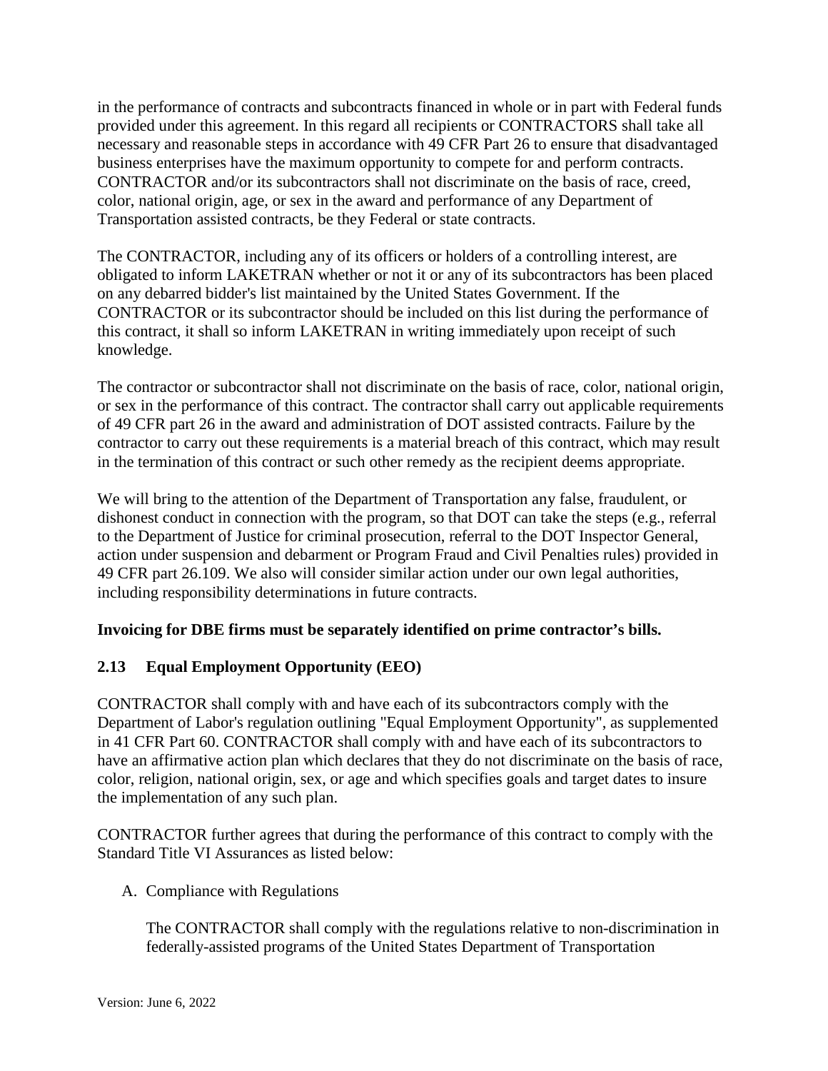in the performance of contracts and subcontracts financed in whole or in part with Federal funds provided under this agreement. In this regard all recipients or CONTRACTORS shall take all necessary and reasonable steps in accordance with 49 CFR Part 26 to ensure that disadvantaged business enterprises have the maximum opportunity to compete for and perform contracts. CONTRACTOR and/or its subcontractors shall not discriminate on the basis of race, creed, color, national origin, age, or sex in the award and performance of any Department of Transportation assisted contracts, be they Federal or state contracts.

The CONTRACTOR, including any of its officers or holders of a controlling interest, are obligated to inform LAKETRAN whether or not it or any of its subcontractors has been placed on any debarred bidder's list maintained by the United States Government. If the CONTRACTOR or its subcontractor should be included on this list during the performance of this contract, it shall so inform LAKETRAN in writing immediately upon receipt of such knowledge.

The contractor or subcontractor shall not discriminate on the basis of race, color, national origin, or sex in the performance of this contract. The contractor shall carry out applicable requirements of 49 CFR part 26 in the award and administration of DOT assisted contracts. Failure by the contractor to carry out these requirements is a material breach of this contract, which may result in the termination of this contract or such other remedy as the recipient deems appropriate.

We will bring to the attention of the Department of Transportation any false, fraudulent, or dishonest conduct in connection with the program, so that DOT can take the steps (e.g., referral to the Department of Justice for criminal prosecution, referral to the DOT Inspector General, action under suspension and debarment or Program Fraud and Civil Penalties rules) provided in 49 CFR part 26.109. We also will consider similar action under our own legal authorities, including responsibility determinations in future contracts.

### **Invoicing for DBE firms must be separately identified on prime contractor's bills.**

# **2.13 Equal Employment Opportunity (EEO)**

CONTRACTOR shall comply with and have each of its subcontractors comply with the Department of Labor's regulation outlining "Equal Employment Opportunity", as supplemented in 41 CFR Part 60. CONTRACTOR shall comply with and have each of its subcontractors to have an affirmative action plan which declares that they do not discriminate on the basis of race, color, religion, national origin, sex, or age and which specifies goals and target dates to insure the implementation of any such plan.

CONTRACTOR further agrees that during the performance of this contract to comply with the Standard Title VI Assurances as listed below:

A. Compliance with Regulations

The CONTRACTOR shall comply with the regulations relative to non-discrimination in federally-assisted programs of the United States Department of Transportation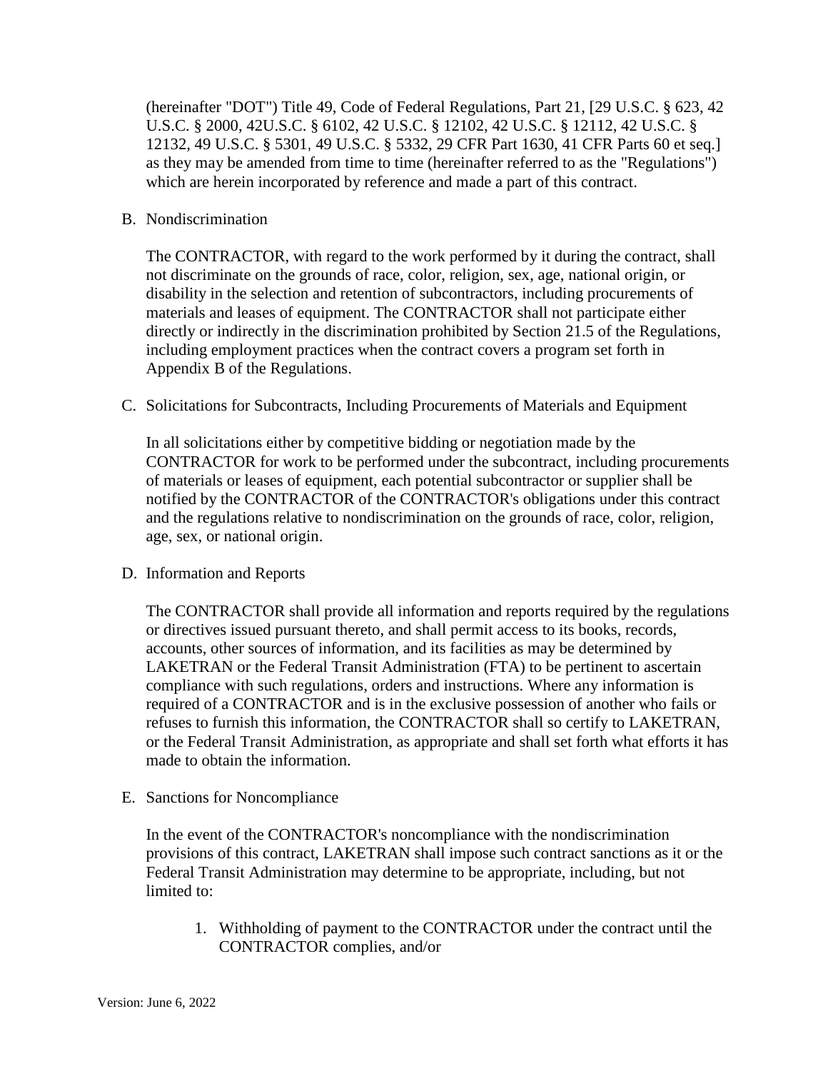(hereinafter "DOT") Title 49, Code of Federal Regulations, Part 21, [29 U.S.C. § 623, 42 U.S.C. § 2000, 42U.S.C. § 6102, 42 U.S.C. § 12102, 42 U.S.C. § 12112, 42 U.S.C. § 12132, 49 U.S.C. § 5301, 49 U.S.C. § 5332, 29 CFR Part 1630, 41 CFR Parts 60 et seq.] as they may be amended from time to time (hereinafter referred to as the "Regulations") which are herein incorporated by reference and made a part of this contract.

#### B. Nondiscrimination

The CONTRACTOR, with regard to the work performed by it during the contract, shall not discriminate on the grounds of race, color, religion, sex, age, national origin, or disability in the selection and retention of subcontractors, including procurements of materials and leases of equipment. The CONTRACTOR shall not participate either directly or indirectly in the discrimination prohibited by Section 21.5 of the Regulations, including employment practices when the contract covers a program set forth in Appendix B of the Regulations.

C. Solicitations for Subcontracts, Including Procurements of Materials and Equipment

In all solicitations either by competitive bidding or negotiation made by the CONTRACTOR for work to be performed under the subcontract, including procurements of materials or leases of equipment, each potential subcontractor or supplier shall be notified by the CONTRACTOR of the CONTRACTOR's obligations under this contract and the regulations relative to nondiscrimination on the grounds of race, color, religion, age, sex, or national origin.

#### D. Information and Reports

The CONTRACTOR shall provide all information and reports required by the regulations or directives issued pursuant thereto, and shall permit access to its books, records, accounts, other sources of information, and its facilities as may be determined by LAKETRAN or the Federal Transit Administration (FTA) to be pertinent to ascertain compliance with such regulations, orders and instructions. Where any information is required of a CONTRACTOR and is in the exclusive possession of another who fails or refuses to furnish this information, the CONTRACTOR shall so certify to LAKETRAN, or the Federal Transit Administration, as appropriate and shall set forth what efforts it has made to obtain the information.

E. Sanctions for Noncompliance

In the event of the CONTRACTOR's noncompliance with the nondiscrimination provisions of this contract, LAKETRAN shall impose such contract sanctions as it or the Federal Transit Administration may determine to be appropriate, including, but not limited to:

1. Withholding of payment to the CONTRACTOR under the contract until the CONTRACTOR complies, and/or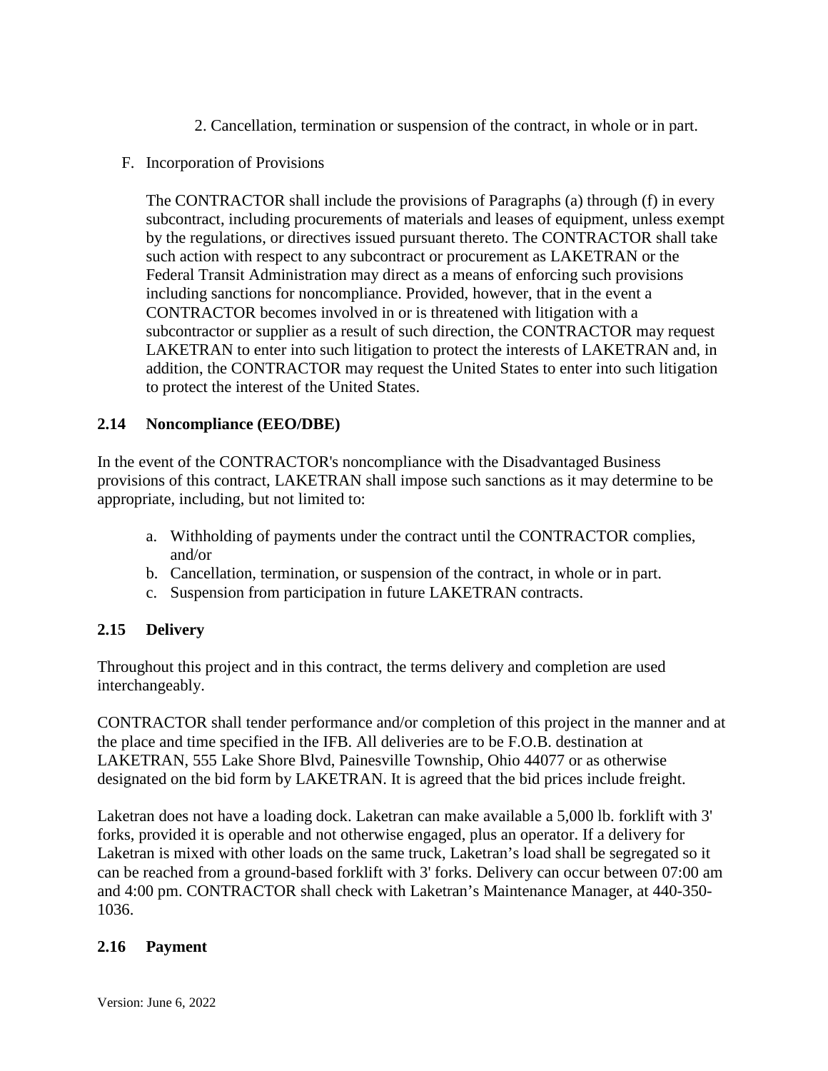- 2. Cancellation, termination or suspension of the contract, in whole or in part.
- F. Incorporation of Provisions

The CONTRACTOR shall include the provisions of Paragraphs (a) through (f) in every subcontract, including procurements of materials and leases of equipment, unless exempt by the regulations, or directives issued pursuant thereto. The CONTRACTOR shall take such action with respect to any subcontract or procurement as LAKETRAN or the Federal Transit Administration may direct as a means of enforcing such provisions including sanctions for noncompliance. Provided, however, that in the event a CONTRACTOR becomes involved in or is threatened with litigation with a subcontractor or supplier as a result of such direction, the CONTRACTOR may request LAKETRAN to enter into such litigation to protect the interests of LAKETRAN and, in addition, the CONTRACTOR may request the United States to enter into such litigation to protect the interest of the United States.

## **2.14 Noncompliance (EEO/DBE)**

In the event of the CONTRACTOR's noncompliance with the Disadvantaged Business provisions of this contract, LAKETRAN shall impose such sanctions as it may determine to be appropriate, including, but not limited to:

- a. Withholding of payments under the contract until the CONTRACTOR complies, and/or
- b. Cancellation, termination, or suspension of the contract, in whole or in part.
- c. Suspension from participation in future LAKETRAN contracts.

# **2.15 Delivery**

Throughout this project and in this contract, the terms delivery and completion are used interchangeably.

CONTRACTOR shall tender performance and/or completion of this project in the manner and at the place and time specified in the IFB. All deliveries are to be F.O.B. destination at LAKETRAN, 555 Lake Shore Blvd, Painesville Township, Ohio 44077 or as otherwise designated on the bid form by LAKETRAN. It is agreed that the bid prices include freight.

Laketran does not have a loading dock. Laketran can make available a 5,000 lb. forklift with 3' forks, provided it is operable and not otherwise engaged, plus an operator. If a delivery for Laketran is mixed with other loads on the same truck, Laketran's load shall be segregated so it can be reached from a ground-based forklift with 3' forks. Delivery can occur between 07:00 am and 4:00 pm. CONTRACTOR shall check with Laketran's Maintenance Manager, at 440-350- 1036.

### **2.16 Payment**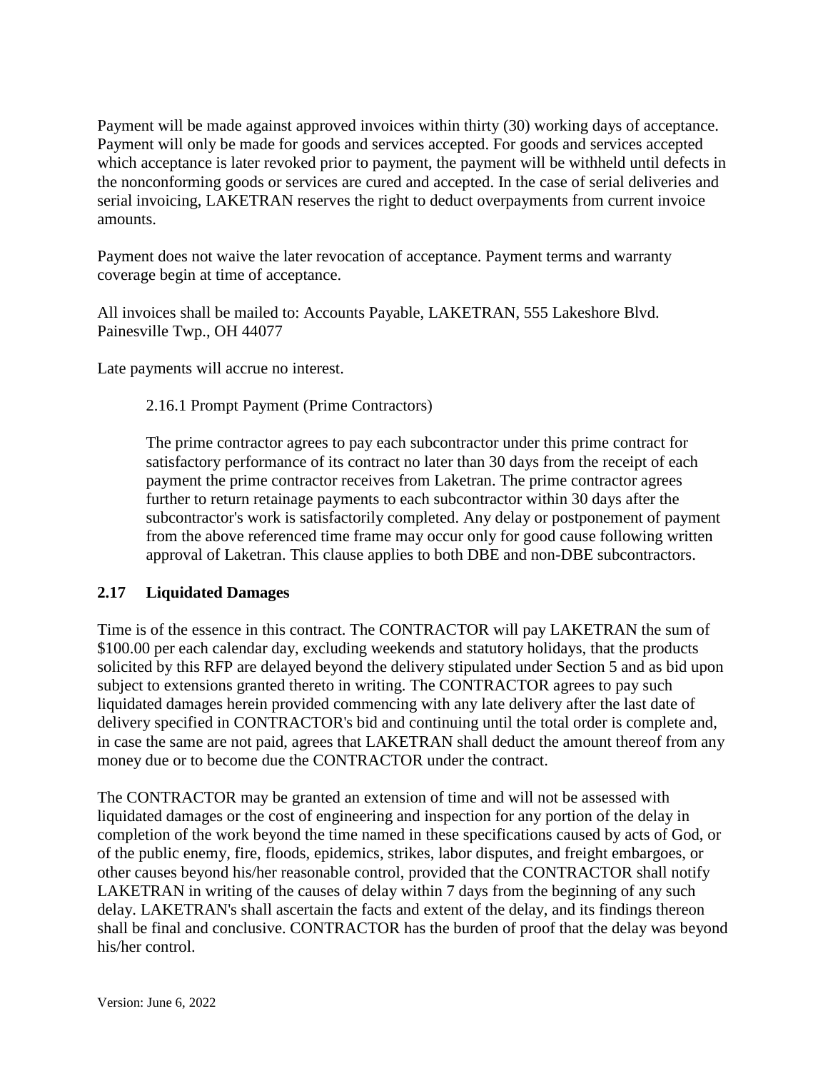Payment will be made against approved invoices within thirty (30) working days of acceptance. Payment will only be made for goods and services accepted. For goods and services accepted which acceptance is later revoked prior to payment, the payment will be withheld until defects in the nonconforming goods or services are cured and accepted. In the case of serial deliveries and serial invoicing, LAKETRAN reserves the right to deduct overpayments from current invoice amounts.

Payment does not waive the later revocation of acceptance. Payment terms and warranty coverage begin at time of acceptance.

All invoices shall be mailed to: Accounts Payable, LAKETRAN, 555 Lakeshore Blvd. Painesville Twp., OH 44077

Late payments will accrue no interest.

#### 2.16.1 Prompt Payment (Prime Contractors)

The prime contractor agrees to pay each subcontractor under this prime contract for satisfactory performance of its contract no later than 30 days from the receipt of each payment the prime contractor receives from Laketran. The prime contractor agrees further to return retainage payments to each subcontractor within 30 days after the subcontractor's work is satisfactorily completed. Any delay or postponement of payment from the above referenced time frame may occur only for good cause following written approval of Laketran. This clause applies to both DBE and non-DBE subcontractors.

#### **2.17 Liquidated Damages**

Time is of the essence in this contract. The CONTRACTOR will pay LAKETRAN the sum of \$100.00 per each calendar day, excluding weekends and statutory holidays, that the products solicited by this RFP are delayed beyond the delivery stipulated under Section 5 and as bid upon subject to extensions granted thereto in writing. The CONTRACTOR agrees to pay such liquidated damages herein provided commencing with any late delivery after the last date of delivery specified in CONTRACTOR's bid and continuing until the total order is complete and, in case the same are not paid, agrees that LAKETRAN shall deduct the amount thereof from any money due or to become due the CONTRACTOR under the contract.

The CONTRACTOR may be granted an extension of time and will not be assessed with liquidated damages or the cost of engineering and inspection for any portion of the delay in completion of the work beyond the time named in these specifications caused by acts of God, or of the public enemy, fire, floods, epidemics, strikes, labor disputes, and freight embargoes, or other causes beyond his/her reasonable control, provided that the CONTRACTOR shall notify LAKETRAN in writing of the causes of delay within 7 days from the beginning of any such delay. LAKETRAN's shall ascertain the facts and extent of the delay, and its findings thereon shall be final and conclusive. CONTRACTOR has the burden of proof that the delay was beyond his/her control.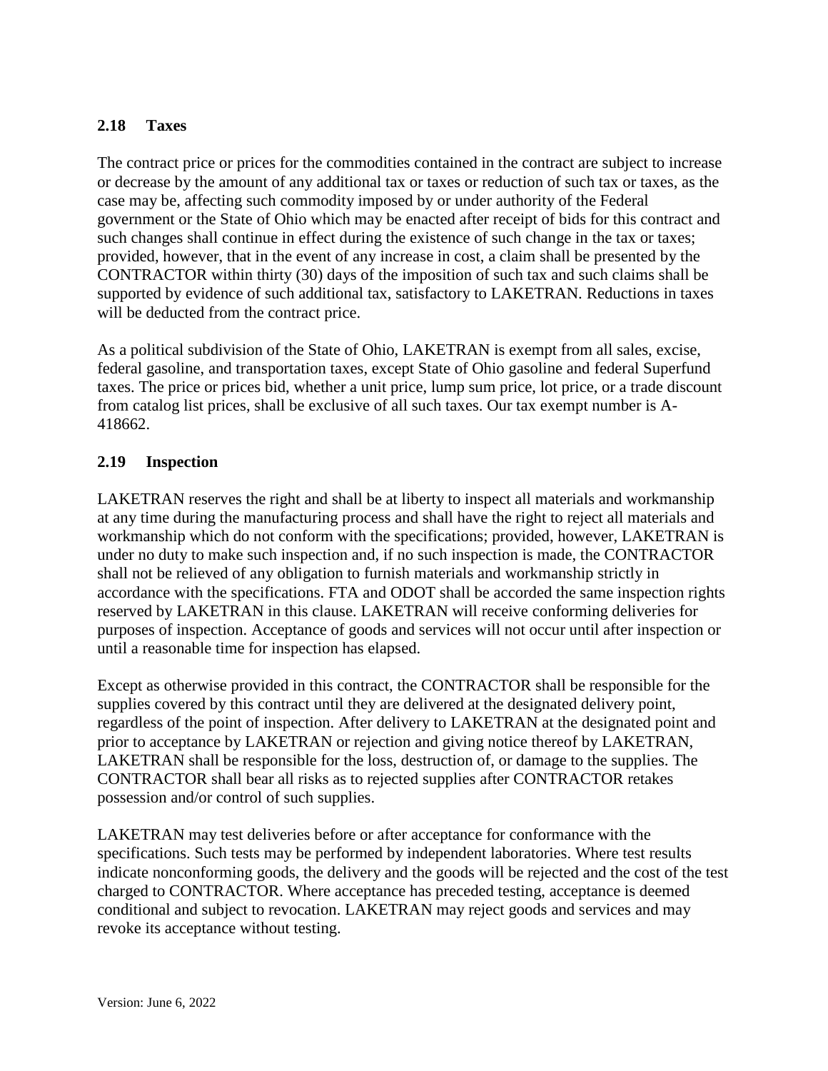### **2.18 Taxes**

The contract price or prices for the commodities contained in the contract are subject to increase or decrease by the amount of any additional tax or taxes or reduction of such tax or taxes, as the case may be, affecting such commodity imposed by or under authority of the Federal government or the State of Ohio which may be enacted after receipt of bids for this contract and such changes shall continue in effect during the existence of such change in the tax or taxes; provided, however, that in the event of any increase in cost, a claim shall be presented by the CONTRACTOR within thirty (30) days of the imposition of such tax and such claims shall be supported by evidence of such additional tax, satisfactory to LAKETRAN. Reductions in taxes will be deducted from the contract price.

As a political subdivision of the State of Ohio, LAKETRAN is exempt from all sales, excise, federal gasoline, and transportation taxes, except State of Ohio gasoline and federal Superfund taxes. The price or prices bid, whether a unit price, lump sum price, lot price, or a trade discount from catalog list prices, shall be exclusive of all such taxes. Our tax exempt number is A-418662.

### **2.19 Inspection**

LAKETRAN reserves the right and shall be at liberty to inspect all materials and workmanship at any time during the manufacturing process and shall have the right to reject all materials and workmanship which do not conform with the specifications; provided, however, LAKETRAN is under no duty to make such inspection and, if no such inspection is made, the CONTRACTOR shall not be relieved of any obligation to furnish materials and workmanship strictly in accordance with the specifications. FTA and ODOT shall be accorded the same inspection rights reserved by LAKETRAN in this clause. LAKETRAN will receive conforming deliveries for purposes of inspection. Acceptance of goods and services will not occur until after inspection or until a reasonable time for inspection has elapsed.

Except as otherwise provided in this contract, the CONTRACTOR shall be responsible for the supplies covered by this contract until they are delivered at the designated delivery point, regardless of the point of inspection. After delivery to LAKETRAN at the designated point and prior to acceptance by LAKETRAN or rejection and giving notice thereof by LAKETRAN, LAKETRAN shall be responsible for the loss, destruction of, or damage to the supplies. The CONTRACTOR shall bear all risks as to rejected supplies after CONTRACTOR retakes possession and/or control of such supplies.

LAKETRAN may test deliveries before or after acceptance for conformance with the specifications. Such tests may be performed by independent laboratories. Where test results indicate nonconforming goods, the delivery and the goods will be rejected and the cost of the test charged to CONTRACTOR. Where acceptance has preceded testing, acceptance is deemed conditional and subject to revocation. LAKETRAN may reject goods and services and may revoke its acceptance without testing.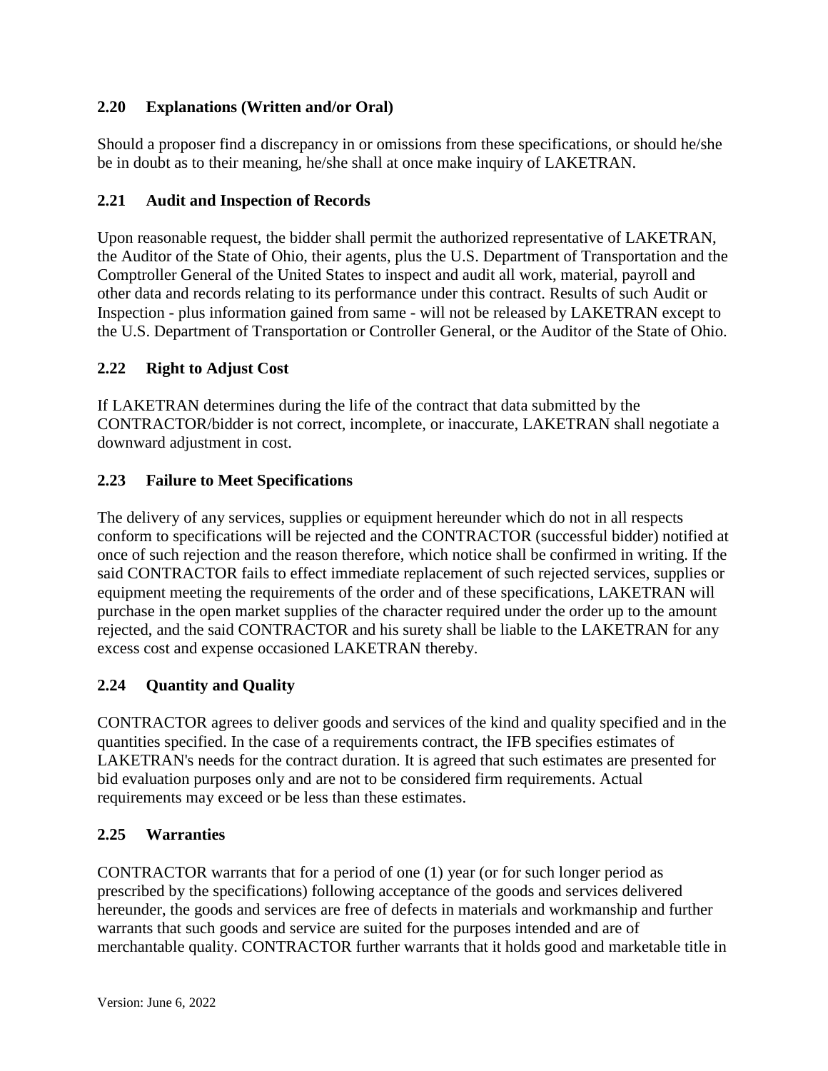## **2.20 Explanations (Written and/or Oral)**

Should a proposer find a discrepancy in or omissions from these specifications, or should he/she be in doubt as to their meaning, he/she shall at once make inquiry of LAKETRAN.

## **2.21 Audit and Inspection of Records**

Upon reasonable request, the bidder shall permit the authorized representative of LAKETRAN, the Auditor of the State of Ohio, their agents, plus the U.S. Department of Transportation and the Comptroller General of the United States to inspect and audit all work, material, payroll and other data and records relating to its performance under this contract. Results of such Audit or Inspection - plus information gained from same - will not be released by LAKETRAN except to the U.S. Department of Transportation or Controller General, or the Auditor of the State of Ohio.

### **2.22 Right to Adjust Cost**

If LAKETRAN determines during the life of the contract that data submitted by the CONTRACTOR/bidder is not correct, incomplete, or inaccurate, LAKETRAN shall negotiate a downward adjustment in cost.

## **2.23 Failure to Meet Specifications**

The delivery of any services, supplies or equipment hereunder which do not in all respects conform to specifications will be rejected and the CONTRACTOR (successful bidder) notified at once of such rejection and the reason therefore, which notice shall be confirmed in writing. If the said CONTRACTOR fails to effect immediate replacement of such rejected services, supplies or equipment meeting the requirements of the order and of these specifications, LAKETRAN will purchase in the open market supplies of the character required under the order up to the amount rejected, and the said CONTRACTOR and his surety shall be liable to the LAKETRAN for any excess cost and expense occasioned LAKETRAN thereby.

# **2.24 Quantity and Quality**

CONTRACTOR agrees to deliver goods and services of the kind and quality specified and in the quantities specified. In the case of a requirements contract, the IFB specifies estimates of LAKETRAN's needs for the contract duration. It is agreed that such estimates are presented for bid evaluation purposes only and are not to be considered firm requirements. Actual requirements may exceed or be less than these estimates.

### **2.25 Warranties**

CONTRACTOR warrants that for a period of one (1) year (or for such longer period as prescribed by the specifications) following acceptance of the goods and services delivered hereunder, the goods and services are free of defects in materials and workmanship and further warrants that such goods and service are suited for the purposes intended and are of merchantable quality. CONTRACTOR further warrants that it holds good and marketable title in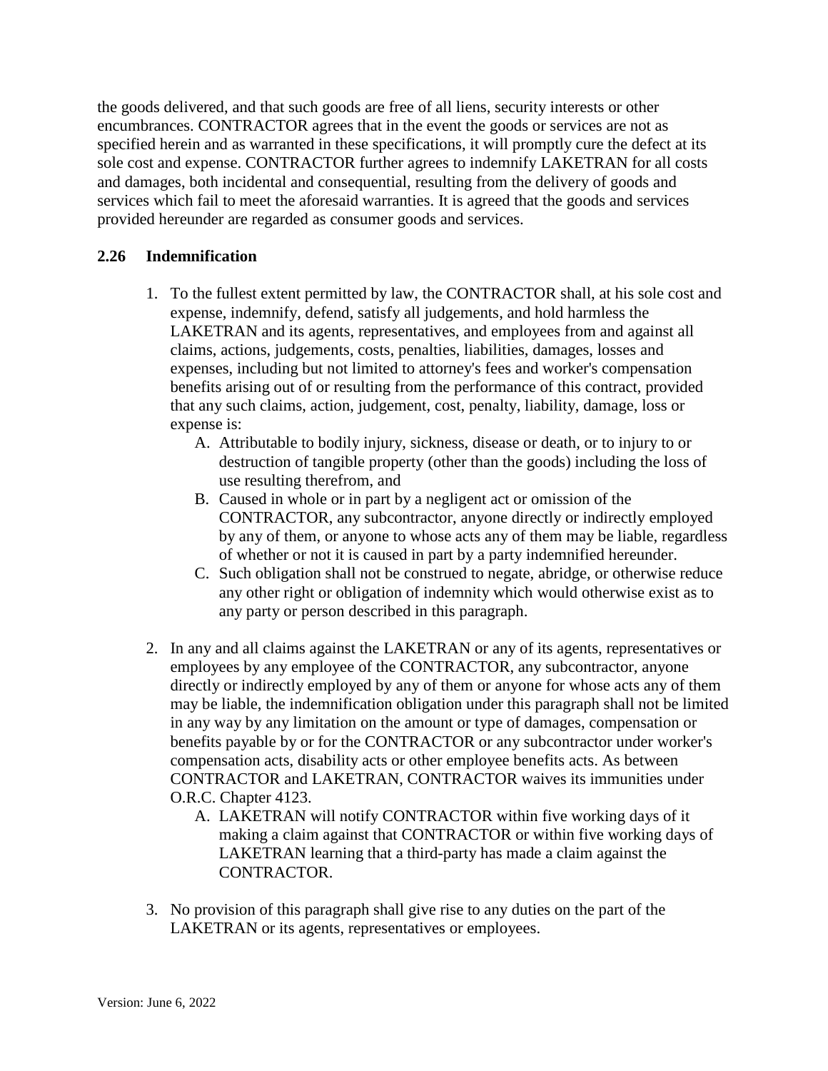the goods delivered, and that such goods are free of all liens, security interests or other encumbrances. CONTRACTOR agrees that in the event the goods or services are not as specified herein and as warranted in these specifications, it will promptly cure the defect at its sole cost and expense. CONTRACTOR further agrees to indemnify LAKETRAN for all costs and damages, both incidental and consequential, resulting from the delivery of goods and services which fail to meet the aforesaid warranties. It is agreed that the goods and services provided hereunder are regarded as consumer goods and services.

#### **2.26 Indemnification**

- 1. To the fullest extent permitted by law, the CONTRACTOR shall, at his sole cost and expense, indemnify, defend, satisfy all judgements, and hold harmless the LAKETRAN and its agents, representatives, and employees from and against all claims, actions, judgements, costs, penalties, liabilities, damages, losses and expenses, including but not limited to attorney's fees and worker's compensation benefits arising out of or resulting from the performance of this contract, provided that any such claims, action, judgement, cost, penalty, liability, damage, loss or expense is:
	- A. Attributable to bodily injury, sickness, disease or death, or to injury to or destruction of tangible property (other than the goods) including the loss of use resulting therefrom, and
	- B. Caused in whole or in part by a negligent act or omission of the CONTRACTOR, any subcontractor, anyone directly or indirectly employed by any of them, or anyone to whose acts any of them may be liable, regardless of whether or not it is caused in part by a party indemnified hereunder.
	- C. Such obligation shall not be construed to negate, abridge, or otherwise reduce any other right or obligation of indemnity which would otherwise exist as to any party or person described in this paragraph.
- 2. In any and all claims against the LAKETRAN or any of its agents, representatives or employees by any employee of the CONTRACTOR, any subcontractor, anyone directly or indirectly employed by any of them or anyone for whose acts any of them may be liable, the indemnification obligation under this paragraph shall not be limited in any way by any limitation on the amount or type of damages, compensation or benefits payable by or for the CONTRACTOR or any subcontractor under worker's compensation acts, disability acts or other employee benefits acts. As between CONTRACTOR and LAKETRAN, CONTRACTOR waives its immunities under O.R.C. Chapter 4123.
	- A. LAKETRAN will notify CONTRACTOR within five working days of it making a claim against that CONTRACTOR or within five working days of LAKETRAN learning that a third-party has made a claim against the CONTRACTOR.
- 3. No provision of this paragraph shall give rise to any duties on the part of the LAKETRAN or its agents, representatives or employees.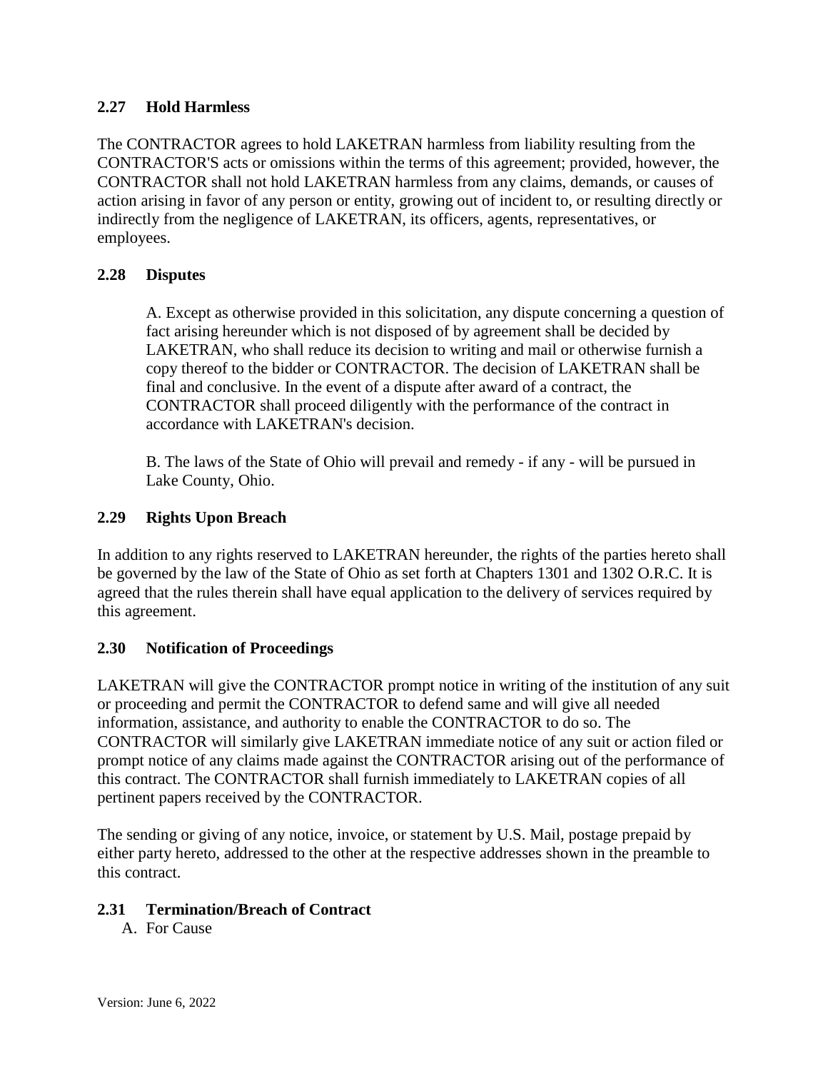### **2.27 Hold Harmless**

The CONTRACTOR agrees to hold LAKETRAN harmless from liability resulting from the CONTRACTOR'S acts or omissions within the terms of this agreement; provided, however, the CONTRACTOR shall not hold LAKETRAN harmless from any claims, demands, or causes of action arising in favor of any person or entity, growing out of incident to, or resulting directly or indirectly from the negligence of LAKETRAN, its officers, agents, representatives, or employees.

## **2.28 Disputes**

A. Except as otherwise provided in this solicitation, any dispute concerning a question of fact arising hereunder which is not disposed of by agreement shall be decided by LAKETRAN, who shall reduce its decision to writing and mail or otherwise furnish a copy thereof to the bidder or CONTRACTOR. The decision of LAKETRAN shall be final and conclusive. In the event of a dispute after award of a contract, the CONTRACTOR shall proceed diligently with the performance of the contract in accordance with LAKETRAN's decision.

B. The laws of the State of Ohio will prevail and remedy - if any - will be pursued in Lake County, Ohio.

### **2.29 Rights Upon Breach**

In addition to any rights reserved to LAKETRAN hereunder, the rights of the parties hereto shall be governed by the law of the State of Ohio as set forth at Chapters 1301 and 1302 O.R.C. It is agreed that the rules therein shall have equal application to the delivery of services required by this agreement.

### **2.30 Notification of Proceedings**

LAKETRAN will give the CONTRACTOR prompt notice in writing of the institution of any suit or proceeding and permit the CONTRACTOR to defend same and will give all needed information, assistance, and authority to enable the CONTRACTOR to do so. The CONTRACTOR will similarly give LAKETRAN immediate notice of any suit or action filed or prompt notice of any claims made against the CONTRACTOR arising out of the performance of this contract. The CONTRACTOR shall furnish immediately to LAKETRAN copies of all pertinent papers received by the CONTRACTOR.

The sending or giving of any notice, invoice, or statement by U.S. Mail, postage prepaid by either party hereto, addressed to the other at the respective addresses shown in the preamble to this contract.

### **2.31 Termination/Breach of Contract**

A. For Cause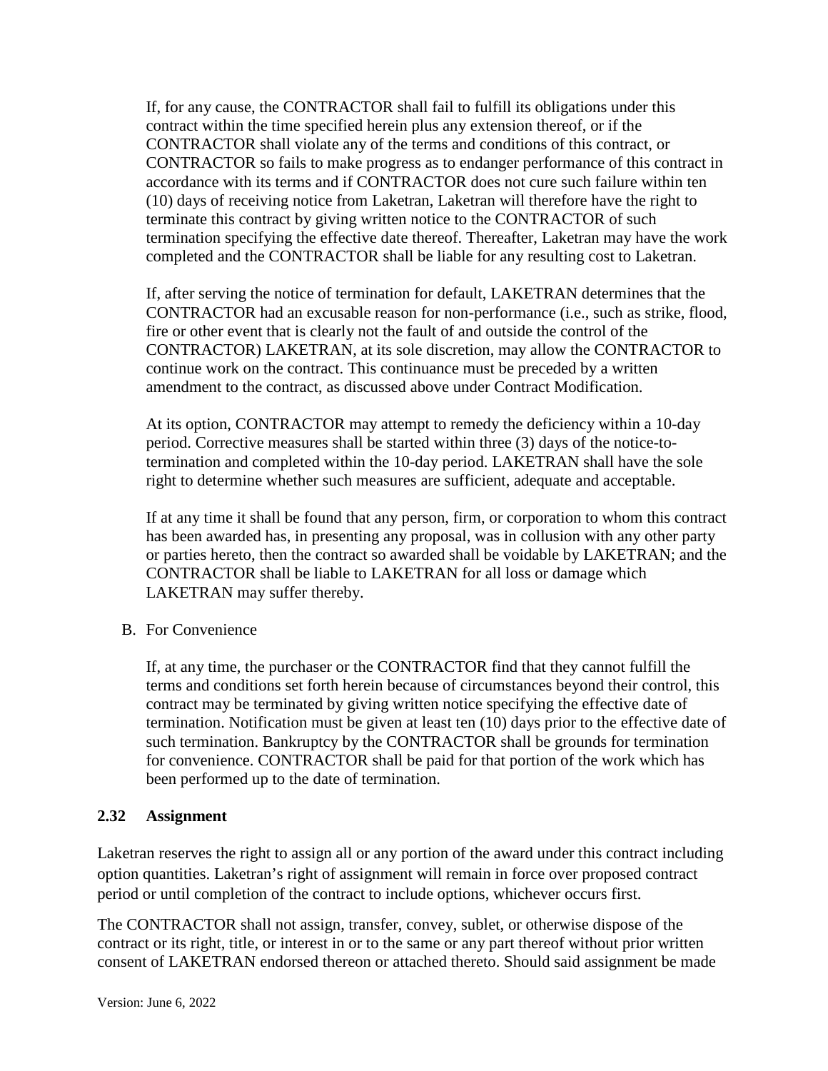If, for any cause, the CONTRACTOR shall fail to fulfill its obligations under this contract within the time specified herein plus any extension thereof, or if the CONTRACTOR shall violate any of the terms and conditions of this contract, or CONTRACTOR so fails to make progress as to endanger performance of this contract in accordance with its terms and if CONTRACTOR does not cure such failure within ten (10) days of receiving notice from Laketran, Laketran will therefore have the right to terminate this contract by giving written notice to the CONTRACTOR of such termination specifying the effective date thereof. Thereafter, Laketran may have the work completed and the CONTRACTOR shall be liable for any resulting cost to Laketran.

If, after serving the notice of termination for default, LAKETRAN determines that the CONTRACTOR had an excusable reason for non-performance (i.e., such as strike, flood, fire or other event that is clearly not the fault of and outside the control of the CONTRACTOR) LAKETRAN, at its sole discretion, may allow the CONTRACTOR to continue work on the contract. This continuance must be preceded by a written amendment to the contract, as discussed above under Contract Modification.

At its option, CONTRACTOR may attempt to remedy the deficiency within a 10-day period. Corrective measures shall be started within three (3) days of the notice-totermination and completed within the 10-day period. LAKETRAN shall have the sole right to determine whether such measures are sufficient, adequate and acceptable.

If at any time it shall be found that any person, firm, or corporation to whom this contract has been awarded has, in presenting any proposal, was in collusion with any other party or parties hereto, then the contract so awarded shall be voidable by LAKETRAN; and the CONTRACTOR shall be liable to LAKETRAN for all loss or damage which LAKETRAN may suffer thereby.

B. For Convenience

If, at any time, the purchaser or the CONTRACTOR find that they cannot fulfill the terms and conditions set forth herein because of circumstances beyond their control, this contract may be terminated by giving written notice specifying the effective date of termination. Notification must be given at least ten (10) days prior to the effective date of such termination. Bankruptcy by the CONTRACTOR shall be grounds for termination for convenience. CONTRACTOR shall be paid for that portion of the work which has been performed up to the date of termination.

### **2.32 Assignment**

Laketran reserves the right to assign all or any portion of the award under this contract including option quantities. Laketran's right of assignment will remain in force over proposed contract period or until completion of the contract to include options, whichever occurs first.

The CONTRACTOR shall not assign, transfer, convey, sublet, or otherwise dispose of the contract or its right, title, or interest in or to the same or any part thereof without prior written consent of LAKETRAN endorsed thereon or attached thereto. Should said assignment be made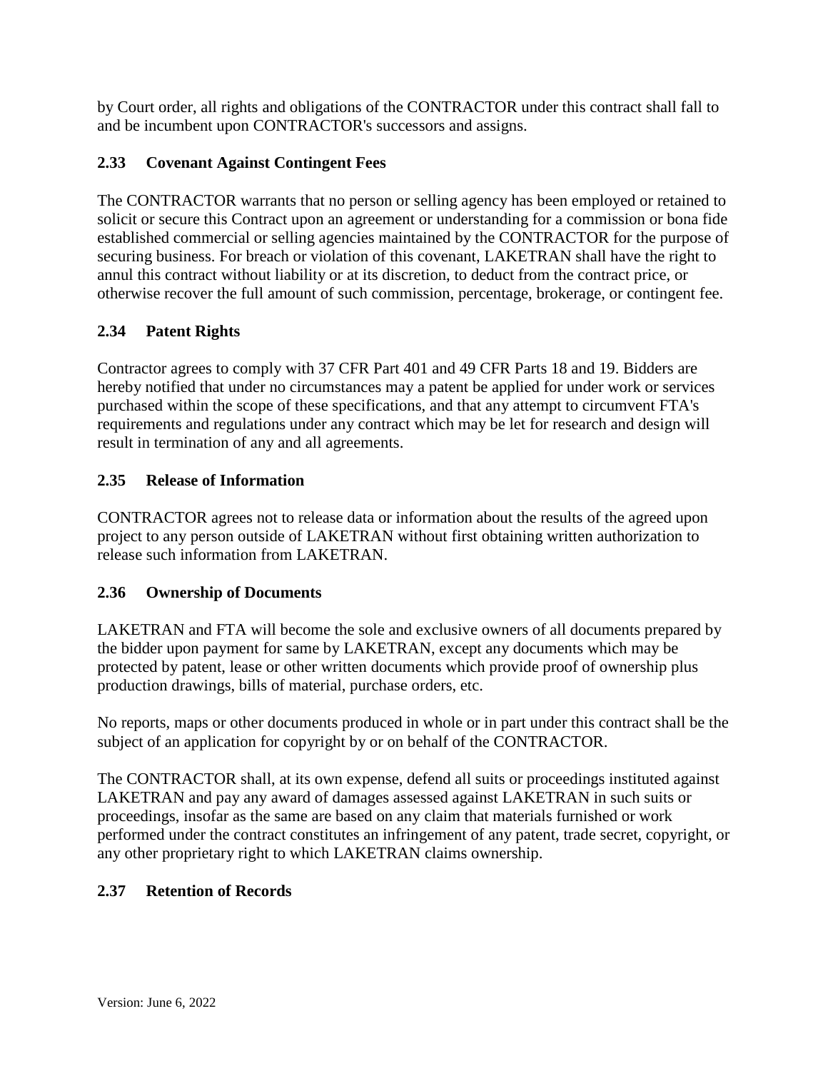by Court order, all rights and obligations of the CONTRACTOR under this contract shall fall to and be incumbent upon CONTRACTOR's successors and assigns.

## **2.33 Covenant Against Contingent Fees**

The CONTRACTOR warrants that no person or selling agency has been employed or retained to solicit or secure this Contract upon an agreement or understanding for a commission or bona fide established commercial or selling agencies maintained by the CONTRACTOR for the purpose of securing business. For breach or violation of this covenant, LAKETRAN shall have the right to annul this contract without liability or at its discretion, to deduct from the contract price, or otherwise recover the full amount of such commission, percentage, brokerage, or contingent fee.

## **2.34 Patent Rights**

Contractor agrees to comply with 37 CFR Part 401 and 49 CFR Parts 18 and 19. Bidders are hereby notified that under no circumstances may a patent be applied for under work or services purchased within the scope of these specifications, and that any attempt to circumvent FTA's requirements and regulations under any contract which may be let for research and design will result in termination of any and all agreements.

### **2.35 Release of Information**

CONTRACTOR agrees not to release data or information about the results of the agreed upon project to any person outside of LAKETRAN without first obtaining written authorization to release such information from LAKETRAN.

### **2.36 Ownership of Documents**

LAKETRAN and FTA will become the sole and exclusive owners of all documents prepared by the bidder upon payment for same by LAKETRAN, except any documents which may be protected by patent, lease or other written documents which provide proof of ownership plus production drawings, bills of material, purchase orders, etc.

No reports, maps or other documents produced in whole or in part under this contract shall be the subject of an application for copyright by or on behalf of the CONTRACTOR.

The CONTRACTOR shall, at its own expense, defend all suits or proceedings instituted against LAKETRAN and pay any award of damages assessed against LAKETRAN in such suits or proceedings, insofar as the same are based on any claim that materials furnished or work performed under the contract constitutes an infringement of any patent, trade secret, copyright, or any other proprietary right to which LAKETRAN claims ownership.

### **2.37 Retention of Records**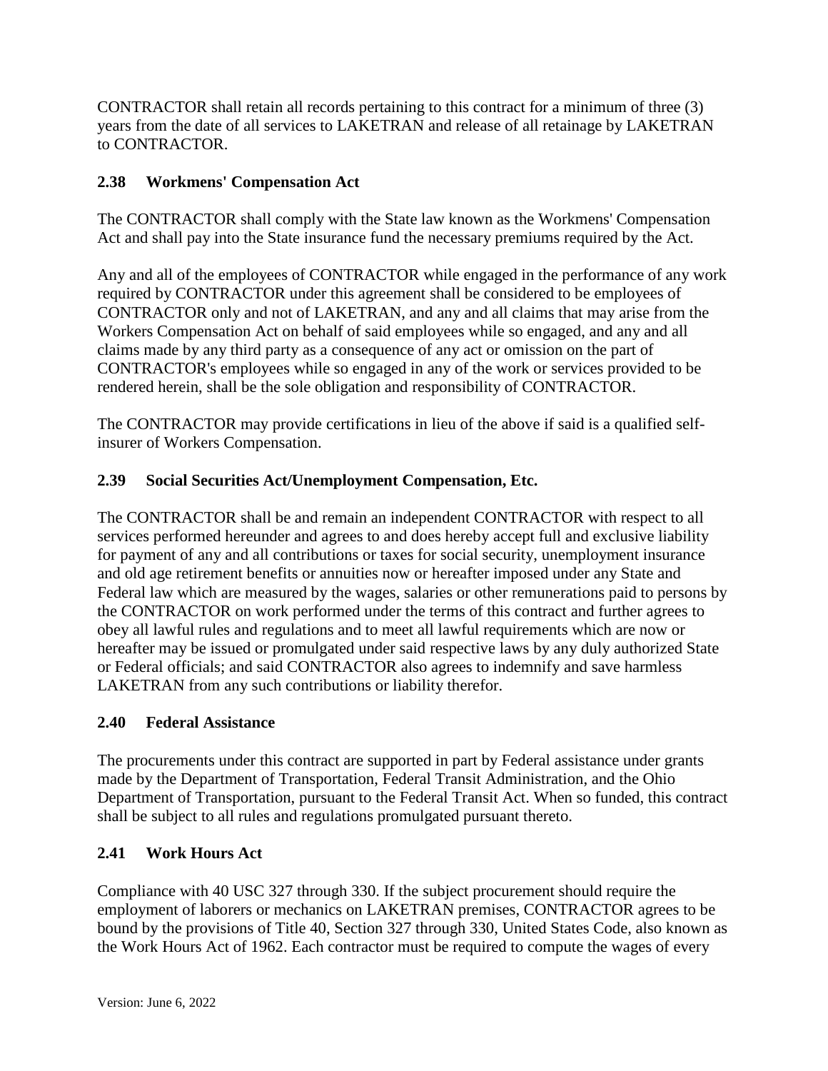CONTRACTOR shall retain all records pertaining to this contract for a minimum of three (3) years from the date of all services to LAKETRAN and release of all retainage by LAKETRAN to CONTRACTOR.

# **2.38 Workmens' Compensation Act**

The CONTRACTOR shall comply with the State law known as the Workmens' Compensation Act and shall pay into the State insurance fund the necessary premiums required by the Act.

Any and all of the employees of CONTRACTOR while engaged in the performance of any work required by CONTRACTOR under this agreement shall be considered to be employees of CONTRACTOR only and not of LAKETRAN, and any and all claims that may arise from the Workers Compensation Act on behalf of said employees while so engaged, and any and all claims made by any third party as a consequence of any act or omission on the part of CONTRACTOR's employees while so engaged in any of the work or services provided to be rendered herein, shall be the sole obligation and responsibility of CONTRACTOR.

The CONTRACTOR may provide certifications in lieu of the above if said is a qualified selfinsurer of Workers Compensation.

## **2.39 Social Securities Act/Unemployment Compensation, Etc.**

The CONTRACTOR shall be and remain an independent CONTRACTOR with respect to all services performed hereunder and agrees to and does hereby accept full and exclusive liability for payment of any and all contributions or taxes for social security, unemployment insurance and old age retirement benefits or annuities now or hereafter imposed under any State and Federal law which are measured by the wages, salaries or other remunerations paid to persons by the CONTRACTOR on work performed under the terms of this contract and further agrees to obey all lawful rules and regulations and to meet all lawful requirements which are now or hereafter may be issued or promulgated under said respective laws by any duly authorized State or Federal officials; and said CONTRACTOR also agrees to indemnify and save harmless LAKETRAN from any such contributions or liability therefor.

### **2.40 Federal Assistance**

The procurements under this contract are supported in part by Federal assistance under grants made by the Department of Transportation, Federal Transit Administration, and the Ohio Department of Transportation, pursuant to the Federal Transit Act. When so funded, this contract shall be subject to all rules and regulations promulgated pursuant thereto.

### **2.41 Work Hours Act**

Compliance with 40 USC 327 through 330. If the subject procurement should require the employment of laborers or mechanics on LAKETRAN premises, CONTRACTOR agrees to be bound by the provisions of Title 40, Section 327 through 330, United States Code, also known as the Work Hours Act of 1962. Each contractor must be required to compute the wages of every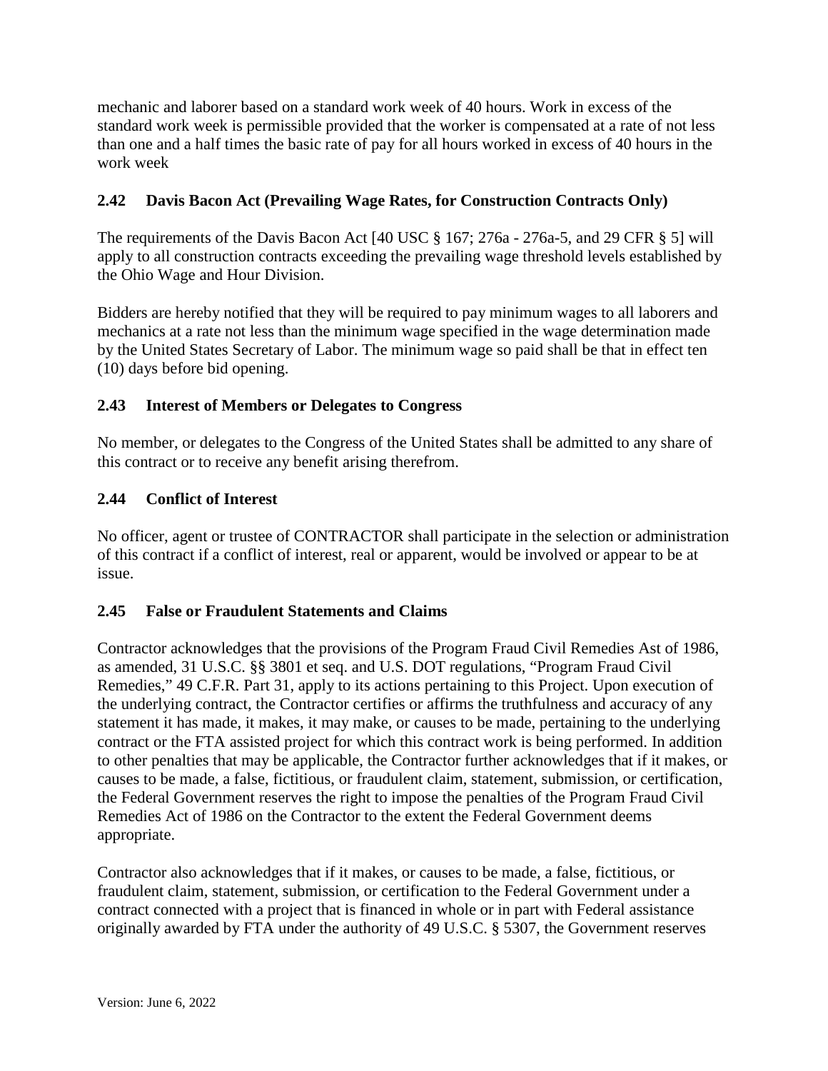mechanic and laborer based on a standard work week of 40 hours. Work in excess of the standard work week is permissible provided that the worker is compensated at a rate of not less than one and a half times the basic rate of pay for all hours worked in excess of 40 hours in the work week

## **2.42 Davis Bacon Act (Prevailing Wage Rates, for Construction Contracts Only)**

The requirements of the Davis Bacon Act [40 USC § 167; 276a - 276a-5, and 29 CFR § 5] will apply to all construction contracts exceeding the prevailing wage threshold levels established by the Ohio Wage and Hour Division.

Bidders are hereby notified that they will be required to pay minimum wages to all laborers and mechanics at a rate not less than the minimum wage specified in the wage determination made by the United States Secretary of Labor. The minimum wage so paid shall be that in effect ten (10) days before bid opening.

### **2.43 Interest of Members or Delegates to Congress**

No member, or delegates to the Congress of the United States shall be admitted to any share of this contract or to receive any benefit arising therefrom.

### **2.44 Conflict of Interest**

No officer, agent or trustee of CONTRACTOR shall participate in the selection or administration of this contract if a conflict of interest, real or apparent, would be involved or appear to be at issue.

#### **2.45 False or Fraudulent Statements and Claims**

Contractor acknowledges that the provisions of the Program Fraud Civil Remedies Ast of 1986, as amended, 31 U.S.C. §§ 3801 et seq. and U.S. DOT regulations, "Program Fraud Civil Remedies," 49 C.F.R. Part 31, apply to its actions pertaining to this Project. Upon execution of the underlying contract, the Contractor certifies or affirms the truthfulness and accuracy of any statement it has made, it makes, it may make, or causes to be made, pertaining to the underlying contract or the FTA assisted project for which this contract work is being performed. In addition to other penalties that may be applicable, the Contractor further acknowledges that if it makes, or causes to be made, a false, fictitious, or fraudulent claim, statement, submission, or certification, the Federal Government reserves the right to impose the penalties of the Program Fraud Civil Remedies Act of 1986 on the Contractor to the extent the Federal Government deems appropriate.

Contractor also acknowledges that if it makes, or causes to be made, a false, fictitious, or fraudulent claim, statement, submission, or certification to the Federal Government under a contract connected with a project that is financed in whole or in part with Federal assistance originally awarded by FTA under the authority of 49 U.S.C. § 5307, the Government reserves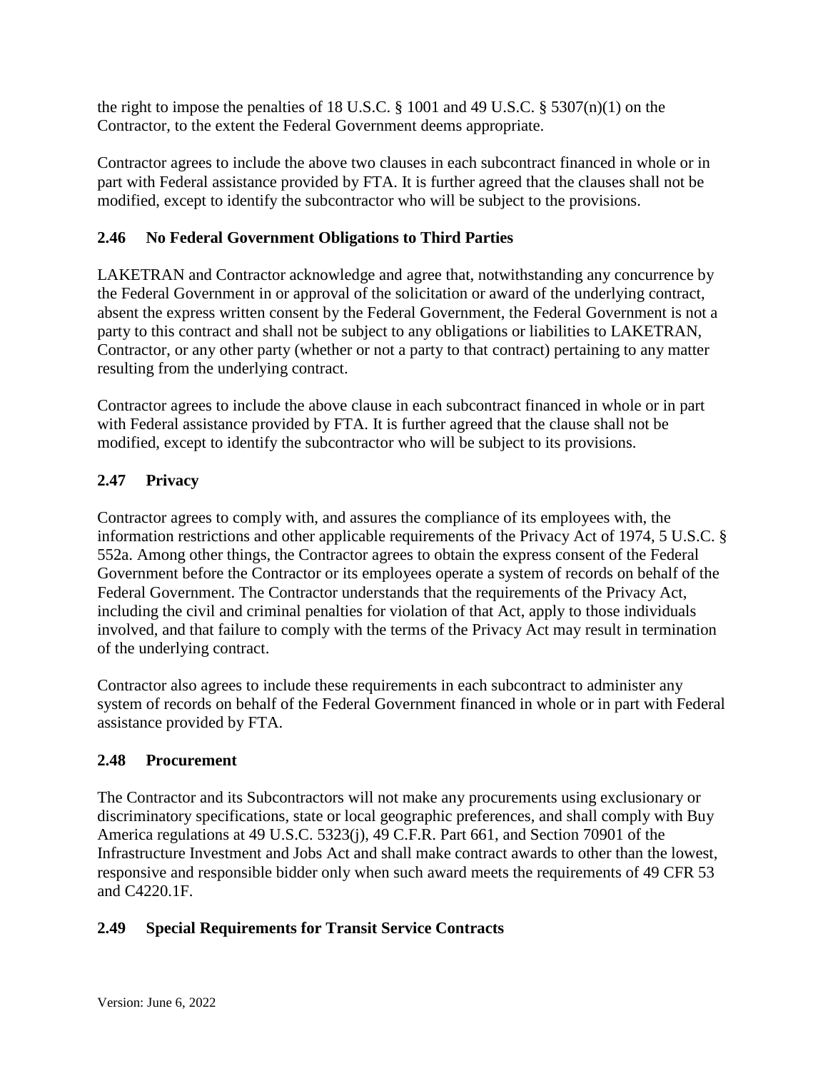the right to impose the penalties of 18 U.S.C. § 1001 and 49 U.S.C. § 5307(n)(1) on the Contractor, to the extent the Federal Government deems appropriate.

Contractor agrees to include the above two clauses in each subcontract financed in whole or in part with Federal assistance provided by FTA. It is further agreed that the clauses shall not be modified, except to identify the subcontractor who will be subject to the provisions.

## **2.46 No Federal Government Obligations to Third Parties**

LAKETRAN and Contractor acknowledge and agree that, notwithstanding any concurrence by the Federal Government in or approval of the solicitation or award of the underlying contract, absent the express written consent by the Federal Government, the Federal Government is not a party to this contract and shall not be subject to any obligations or liabilities to LAKETRAN, Contractor, or any other party (whether or not a party to that contract) pertaining to any matter resulting from the underlying contract.

Contractor agrees to include the above clause in each subcontract financed in whole or in part with Federal assistance provided by FTA. It is further agreed that the clause shall not be modified, except to identify the subcontractor who will be subject to its provisions.

# **2.47 Privacy**

Contractor agrees to comply with, and assures the compliance of its employees with, the information restrictions and other applicable requirements of the Privacy Act of 1974, 5 U.S.C. § 552a. Among other things, the Contractor agrees to obtain the express consent of the Federal Government before the Contractor or its employees operate a system of records on behalf of the Federal Government. The Contractor understands that the requirements of the Privacy Act, including the civil and criminal penalties for violation of that Act, apply to those individuals involved, and that failure to comply with the terms of the Privacy Act may result in termination of the underlying contract.

Contractor also agrees to include these requirements in each subcontract to administer any system of records on behalf of the Federal Government financed in whole or in part with Federal assistance provided by FTA.

### **2.48 Procurement**

The Contractor and its Subcontractors will not make any procurements using exclusionary or discriminatory specifications, state or local geographic preferences, and shall comply with Buy America regulations at 49 U.S.C. 5323(j), 49 C.F.R. Part 661, and Section 70901 of the Infrastructure Investment and Jobs Act and shall make contract awards to other than the lowest, responsive and responsible bidder only when such award meets the requirements of 49 CFR 53 and C4220.1F.

### **2.49 Special Requirements for Transit Service Contracts**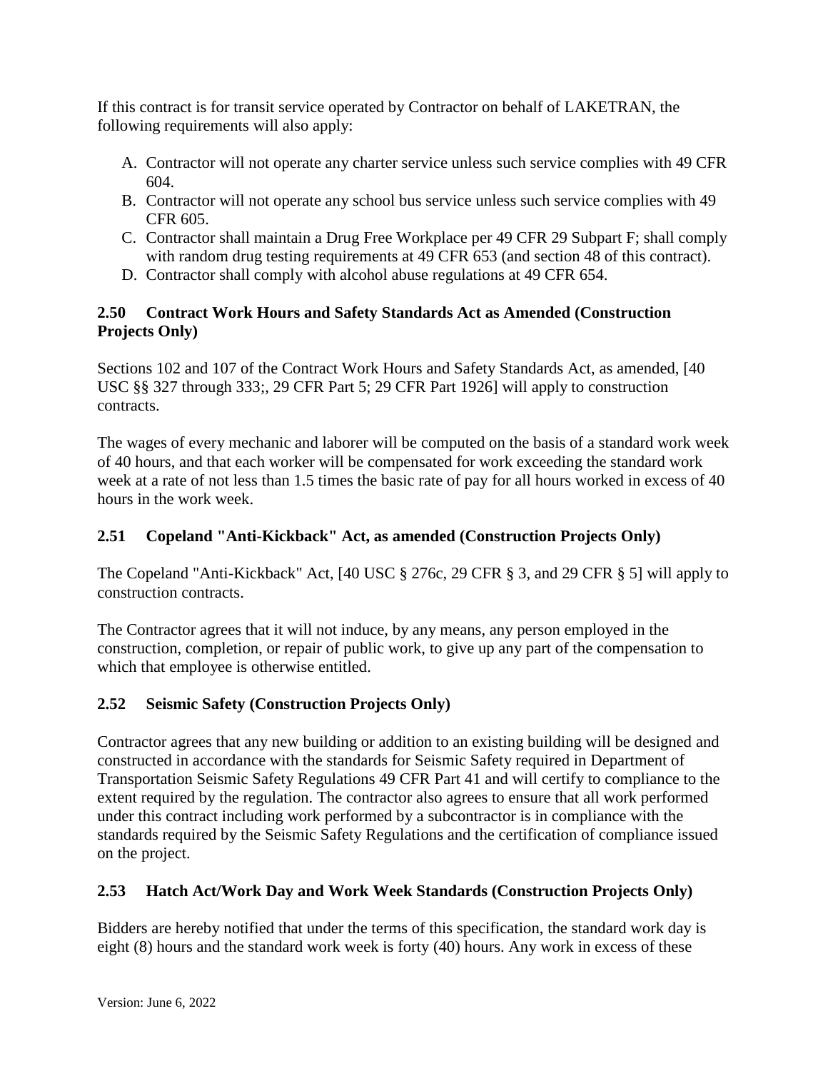If this contract is for transit service operated by Contractor on behalf of LAKETRAN, the following requirements will also apply:

- A. Contractor will not operate any charter service unless such service complies with 49 CFR 604.
- B. Contractor will not operate any school bus service unless such service complies with 49 CFR 605.
- C. Contractor shall maintain a Drug Free Workplace per 49 CFR 29 Subpart F; shall comply with random drug testing requirements at 49 CFR 653 (and section 48 of this contract).
- D. Contractor shall comply with alcohol abuse regulations at 49 CFR 654.

# **2.50 Contract Work Hours and Safety Standards Act as Amended (Construction Projects Only)**

Sections 102 and 107 of the Contract Work Hours and Safety Standards Act, as amended, [40 USC §§ 327 through 333;, 29 CFR Part 5; 29 CFR Part 1926] will apply to construction contracts.

The wages of every mechanic and laborer will be computed on the basis of a standard work week of 40 hours, and that each worker will be compensated for work exceeding the standard work week at a rate of not less than 1.5 times the basic rate of pay for all hours worked in excess of 40 hours in the work week.

# **2.51 Copeland "Anti-Kickback" Act, as amended (Construction Projects Only)**

The Copeland "Anti-Kickback" Act, [40 USC § 276c, 29 CFR § 3, and 29 CFR § 5] will apply to construction contracts.

The Contractor agrees that it will not induce, by any means, any person employed in the construction, completion, or repair of public work, to give up any part of the compensation to which that employee is otherwise entitled.

# **2.52 Seismic Safety (Construction Projects Only)**

Contractor agrees that any new building or addition to an existing building will be designed and constructed in accordance with the standards for Seismic Safety required in Department of Transportation Seismic Safety Regulations 49 CFR Part 41 and will certify to compliance to the extent required by the regulation. The contractor also agrees to ensure that all work performed under this contract including work performed by a subcontractor is in compliance with the standards required by the Seismic Safety Regulations and the certification of compliance issued on the project.

# **2.53 Hatch Act/Work Day and Work Week Standards (Construction Projects Only)**

Bidders are hereby notified that under the terms of this specification, the standard work day is eight (8) hours and the standard work week is forty (40) hours. Any work in excess of these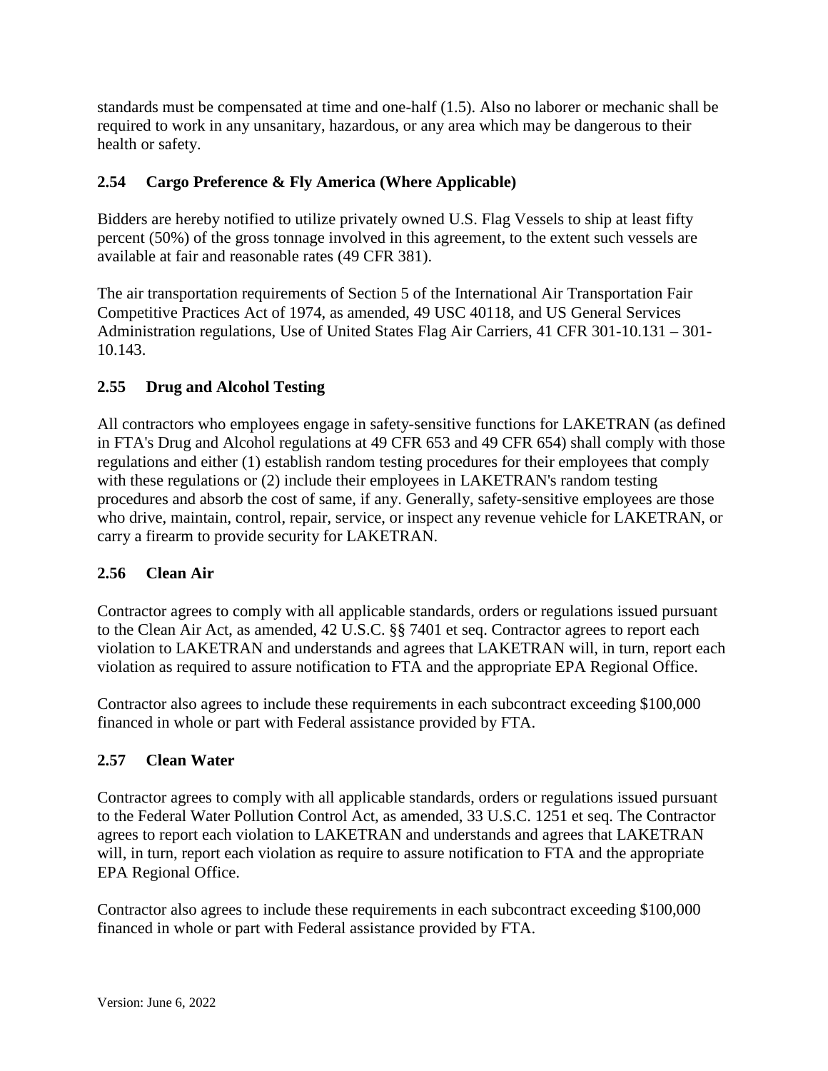standards must be compensated at time and one-half (1.5). Also no laborer or mechanic shall be required to work in any unsanitary, hazardous, or any area which may be dangerous to their health or safety.

# **2.54 Cargo Preference & Fly America (Where Applicable)**

Bidders are hereby notified to utilize privately owned U.S. Flag Vessels to ship at least fifty percent (50%) of the gross tonnage involved in this agreement, to the extent such vessels are available at fair and reasonable rates (49 CFR 381).

The air transportation requirements of Section 5 of the International Air Transportation Fair Competitive Practices Act of 1974, as amended, 49 USC 40118, and US General Services Administration regulations, Use of United States Flag Air Carriers, 41 CFR 301-10.131 – 301- 10.143.

## **2.55 Drug and Alcohol Testing**

All contractors who employees engage in safety-sensitive functions for LAKETRAN (as defined in FTA's Drug and Alcohol regulations at 49 CFR 653 and 49 CFR 654) shall comply with those regulations and either (1) establish random testing procedures for their employees that comply with these regulations or (2) include their employees in LAKETRAN's random testing procedures and absorb the cost of same, if any. Generally, safety-sensitive employees are those who drive, maintain, control, repair, service, or inspect any revenue vehicle for LAKETRAN, or carry a firearm to provide security for LAKETRAN.

### **2.56 Clean Air**

Contractor agrees to comply with all applicable standards, orders or regulations issued pursuant to the Clean Air Act, as amended, 42 U.S.C. §§ 7401 et seq. Contractor agrees to report each violation to LAKETRAN and understands and agrees that LAKETRAN will, in turn, report each violation as required to assure notification to FTA and the appropriate EPA Regional Office.

Contractor also agrees to include these requirements in each subcontract exceeding \$100,000 financed in whole or part with Federal assistance provided by FTA.

### **2.57 Clean Water**

Contractor agrees to comply with all applicable standards, orders or regulations issued pursuant to the Federal Water Pollution Control Act, as amended, 33 U.S.C. 1251 et seq. The Contractor agrees to report each violation to LAKETRAN and understands and agrees that LAKETRAN will, in turn, report each violation as require to assure notification to FTA and the appropriate EPA Regional Office.

Contractor also agrees to include these requirements in each subcontract exceeding \$100,000 financed in whole or part with Federal assistance provided by FTA.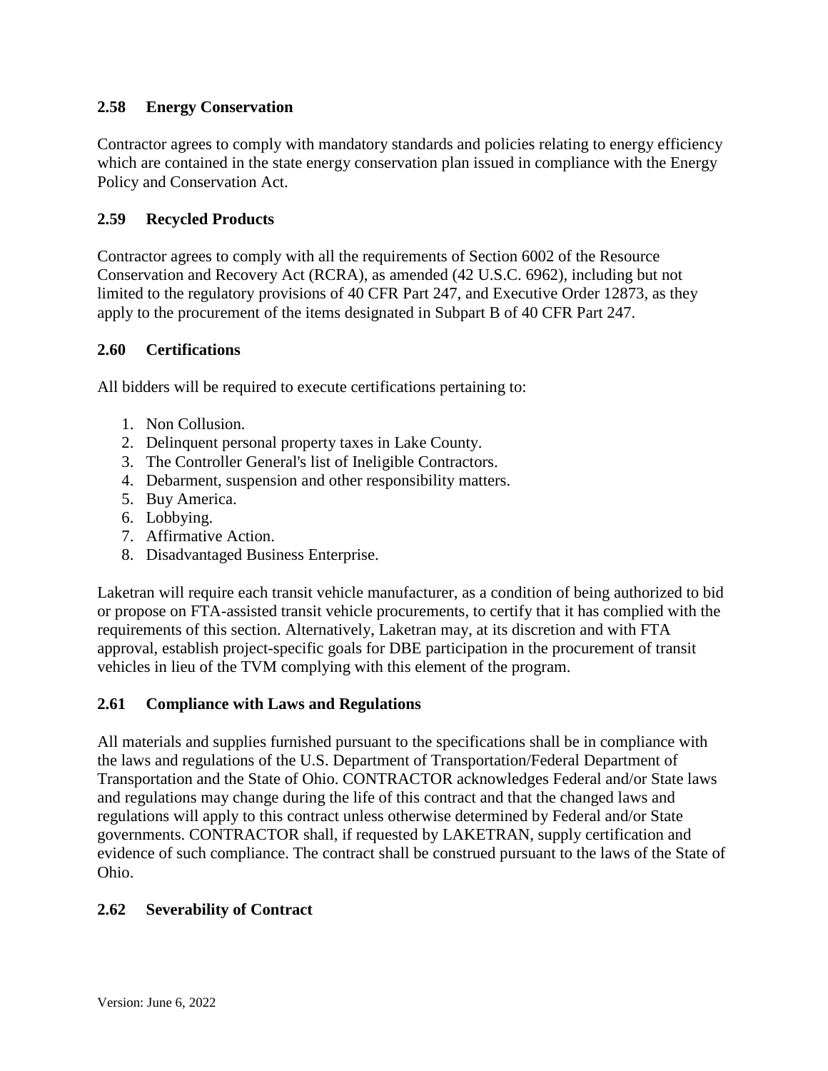### **2.58 Energy Conservation**

Contractor agrees to comply with mandatory standards and policies relating to energy efficiency which are contained in the state energy conservation plan issued in compliance with the Energy Policy and Conservation Act.

### **2.59 Recycled Products**

Contractor agrees to comply with all the requirements of Section 6002 of the Resource Conservation and Recovery Act (RCRA), as amended (42 U.S.C. 6962), including but not limited to the regulatory provisions of 40 CFR Part 247, and Executive Order 12873, as they apply to the procurement of the items designated in Subpart B of 40 CFR Part 247.

### **2.60 Certifications**

All bidders will be required to execute certifications pertaining to:

- 1. Non Collusion.
- 2. Delinquent personal property taxes in Lake County.
- 3. The Controller General's list of Ineligible Contractors.
- 4. Debarment, suspension and other responsibility matters.
- 5. Buy America.
- 6. Lobbying.
- 7. Affirmative Action.
- 8. Disadvantaged Business Enterprise.

Laketran will require each transit vehicle manufacturer, as a condition of being authorized to bid or propose on FTA-assisted transit vehicle procurements, to certify that it has complied with the requirements of this section. Alternatively, Laketran may, at its discretion and with FTA approval, establish project-specific goals for DBE participation in the procurement of transit vehicles in lieu of the TVM complying with this element of the program.

#### **2.61 Compliance with Laws and Regulations**

All materials and supplies furnished pursuant to the specifications shall be in compliance with the laws and regulations of the U.S. Department of Transportation/Federal Department of Transportation and the State of Ohio. CONTRACTOR acknowledges Federal and/or State laws and regulations may change during the life of this contract and that the changed laws and regulations will apply to this contract unless otherwise determined by Federal and/or State governments. CONTRACTOR shall, if requested by LAKETRAN, supply certification and evidence of such compliance. The contract shall be construed pursuant to the laws of the State of Ohio.

#### **2.62 Severability of Contract**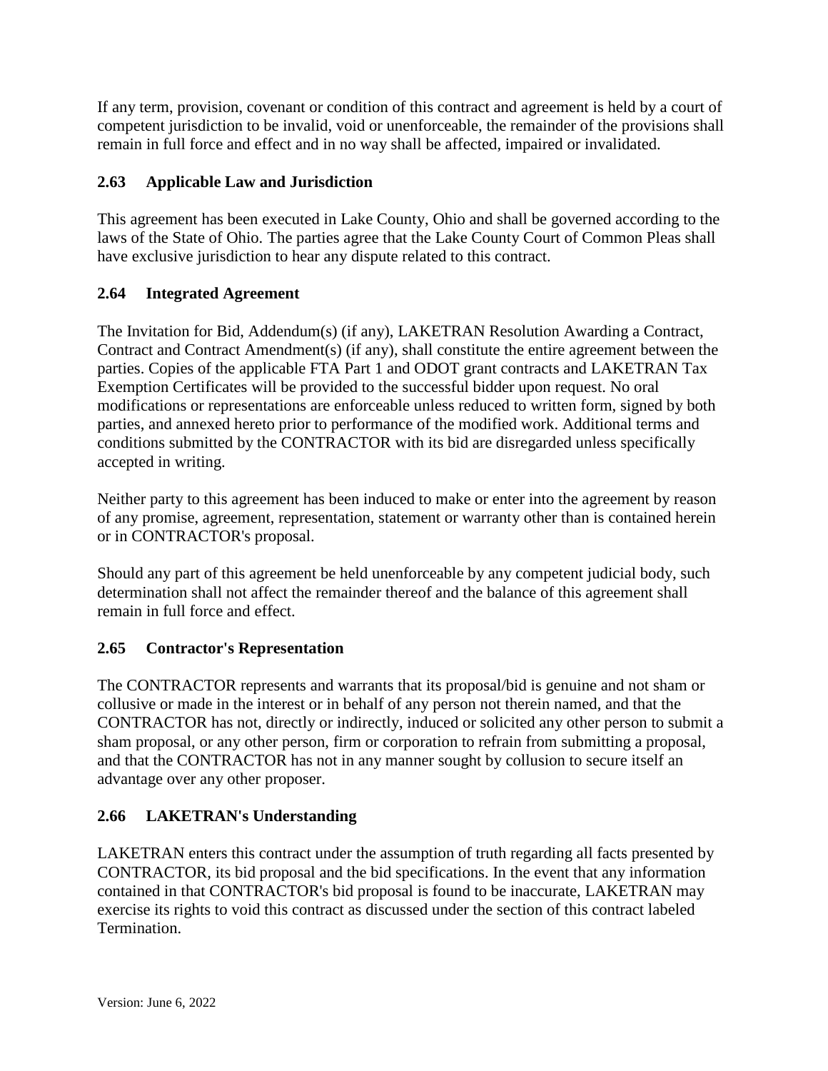If any term, provision, covenant or condition of this contract and agreement is held by a court of competent jurisdiction to be invalid, void or unenforceable, the remainder of the provisions shall remain in full force and effect and in no way shall be affected, impaired or invalidated.

# **2.63 Applicable Law and Jurisdiction**

This agreement has been executed in Lake County, Ohio and shall be governed according to the laws of the State of Ohio. The parties agree that the Lake County Court of Common Pleas shall have exclusive jurisdiction to hear any dispute related to this contract.

# **2.64 Integrated Agreement**

The Invitation for Bid, Addendum(s) (if any), LAKETRAN Resolution Awarding a Contract, Contract and Contract Amendment(s) (if any), shall constitute the entire agreement between the parties. Copies of the applicable FTA Part 1 and ODOT grant contracts and LAKETRAN Tax Exemption Certificates will be provided to the successful bidder upon request. No oral modifications or representations are enforceable unless reduced to written form, signed by both parties, and annexed hereto prior to performance of the modified work. Additional terms and conditions submitted by the CONTRACTOR with its bid are disregarded unless specifically accepted in writing.

Neither party to this agreement has been induced to make or enter into the agreement by reason of any promise, agreement, representation, statement or warranty other than is contained herein or in CONTRACTOR's proposal.

Should any part of this agreement be held unenforceable by any competent judicial body, such determination shall not affect the remainder thereof and the balance of this agreement shall remain in full force and effect.

# **2.65 Contractor's Representation**

The CONTRACTOR represents and warrants that its proposal/bid is genuine and not sham or collusive or made in the interest or in behalf of any person not therein named, and that the CONTRACTOR has not, directly or indirectly, induced or solicited any other person to submit a sham proposal, or any other person, firm or corporation to refrain from submitting a proposal, and that the CONTRACTOR has not in any manner sought by collusion to secure itself an advantage over any other proposer.

# **2.66 LAKETRAN's Understanding**

LAKETRAN enters this contract under the assumption of truth regarding all facts presented by CONTRACTOR, its bid proposal and the bid specifications. In the event that any information contained in that CONTRACTOR's bid proposal is found to be inaccurate, LAKETRAN may exercise its rights to void this contract as discussed under the section of this contract labeled Termination.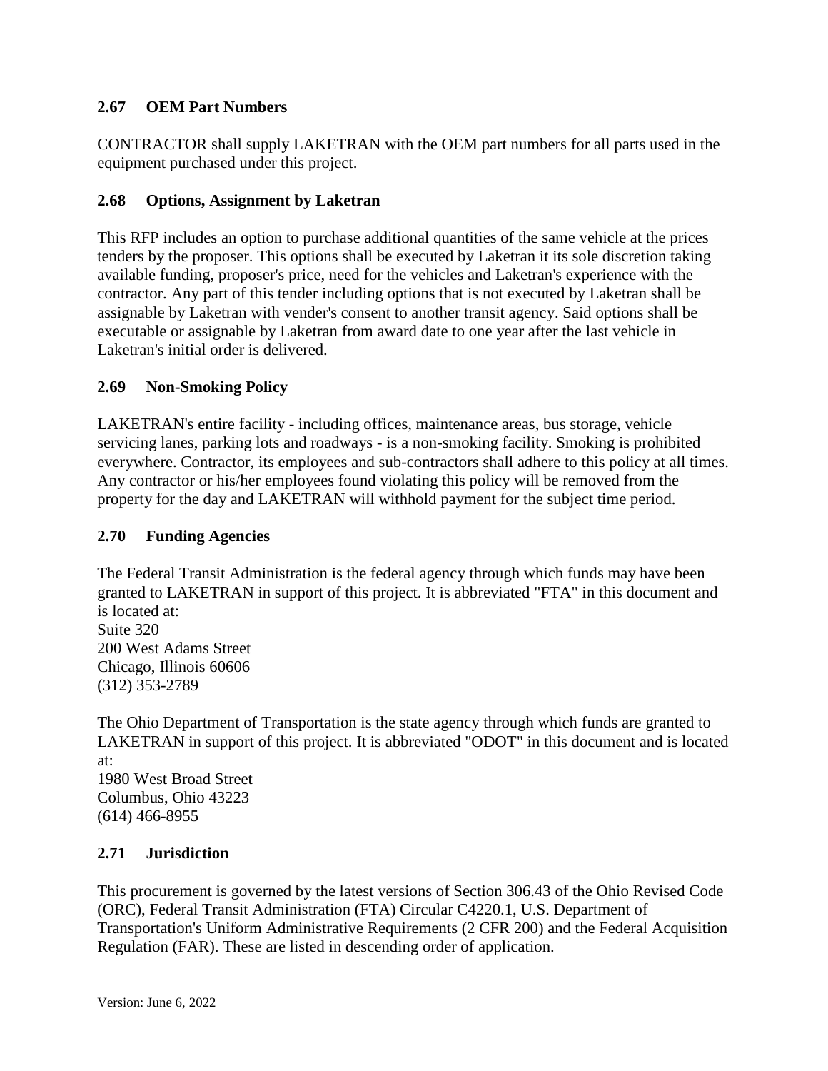### **2.67 OEM Part Numbers**

CONTRACTOR shall supply LAKETRAN with the OEM part numbers for all parts used in the equipment purchased under this project.

## **2.68 Options, Assignment by Laketran**

This RFP includes an option to purchase additional quantities of the same vehicle at the prices tenders by the proposer. This options shall be executed by Laketran it its sole discretion taking available funding, proposer's price, need for the vehicles and Laketran's experience with the contractor. Any part of this tender including options that is not executed by Laketran shall be assignable by Laketran with vender's consent to another transit agency. Said options shall be executable or assignable by Laketran from award date to one year after the last vehicle in Laketran's initial order is delivered.

### **2.69 Non-Smoking Policy**

LAKETRAN's entire facility - including offices, maintenance areas, bus storage, vehicle servicing lanes, parking lots and roadways - is a non-smoking facility. Smoking is prohibited everywhere. Contractor, its employees and sub-contractors shall adhere to this policy at all times. Any contractor or his/her employees found violating this policy will be removed from the property for the day and LAKETRAN will withhold payment for the subject time period.

### **2.70 Funding Agencies**

The Federal Transit Administration is the federal agency through which funds may have been granted to LAKETRAN in support of this project. It is abbreviated "FTA" in this document and is located at: Suite 320 200 West Adams Street Chicago, Illinois 60606 (312) 353-2789

The Ohio Department of Transportation is the state agency through which funds are granted to LAKETRAN in support of this project. It is abbreviated "ODOT" in this document and is located at: 1980 West Broad Street Columbus, Ohio 43223 (614) 466-8955

### **2.71 Jurisdiction**

This procurement is governed by the latest versions of Section 306.43 of the Ohio Revised Code (ORC), Federal Transit Administration (FTA) Circular C4220.1, U.S. Department of Transportation's Uniform Administrative Requirements (2 CFR 200) and the Federal Acquisition Regulation (FAR). These are listed in descending order of application.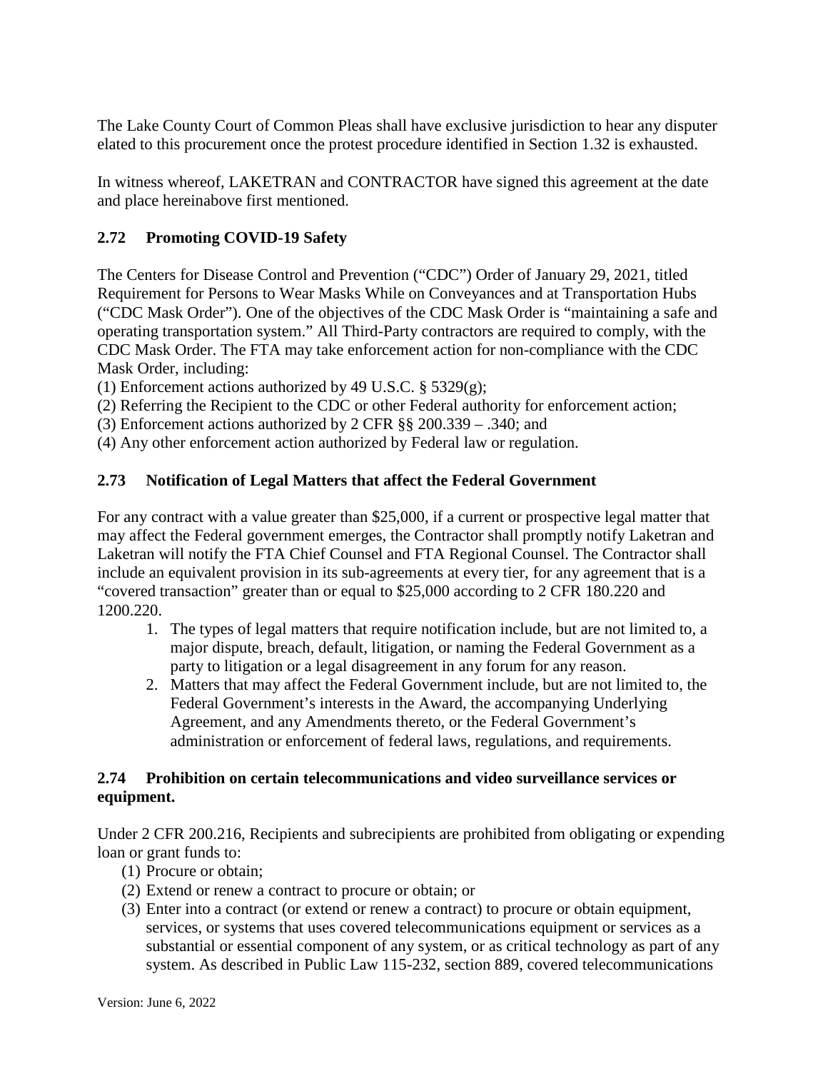The Lake County Court of Common Pleas shall have exclusive jurisdiction to hear any disputer elated to this procurement once the protest procedure identified in Section 1.32 is exhausted.

In witness whereof, LAKETRAN and CONTRACTOR have signed this agreement at the date and place hereinabove first mentioned.

# **2.72 Promoting COVID-19 Safety**

The Centers for Disease Control and Prevention ("CDC") Order of January 29, 2021, titled Requirement for Persons to Wear Masks While on Conveyances and at Transportation Hubs ("CDC Mask Order"). One of the objectives of the CDC Mask Order is "maintaining a safe and operating transportation system." All Third-Party contractors are required to comply, with the CDC Mask Order. The FTA may take enforcement action for non-compliance with the CDC Mask Order, including:

(1) Enforcement actions authorized by 49 U.S.C.  $\S$  5329(g);

(2) Referring the Recipient to the CDC or other Federal authority for enforcement action;

(3) Enforcement actions authorized by 2 CFR §§ 200.339 – .340; and

(4) Any other enforcement action authorized by Federal law or regulation.

# **2.73 Notification of Legal Matters that affect the Federal Government**

For any contract with a value greater than \$25,000, if a current or prospective legal matter that may affect the Federal government emerges, the Contractor shall promptly notify Laketran and Laketran will notify the FTA Chief Counsel and FTA Regional Counsel. The Contractor shall include an equivalent provision in its sub-agreements at every tier, for any agreement that is a "covered transaction" greater than or equal to \$25,000 according to 2 CFR 180.220 and 1200.220.

- 1. The types of legal matters that require notification include, but are not limited to, a major dispute, breach, default, litigation, or naming the Federal Government as a party to litigation or a legal disagreement in any forum for any reason.
- 2. Matters that may affect the Federal Government include, but are not limited to, the Federal Government's interests in the Award, the accompanying Underlying Agreement, and any Amendments thereto, or the Federal Government's administration or enforcement of federal laws, regulations, and requirements.

## **2.74 Prohibition on certain telecommunications and video surveillance services or equipment.**

Under 2 CFR 200.216, Recipients and subrecipients are prohibited from obligating or expending loan or grant funds to:

- (1) Procure or obtain;
- (2) Extend or renew a contract to procure or obtain; or
- (3) Enter into a contract (or extend or renew a contract) to procure or obtain equipment, services, or systems that uses covered telecommunications equipment or services as a substantial or essential component of any system, or as critical technology as part of any system. As described in Public Law 115-232, section 889, covered telecommunications